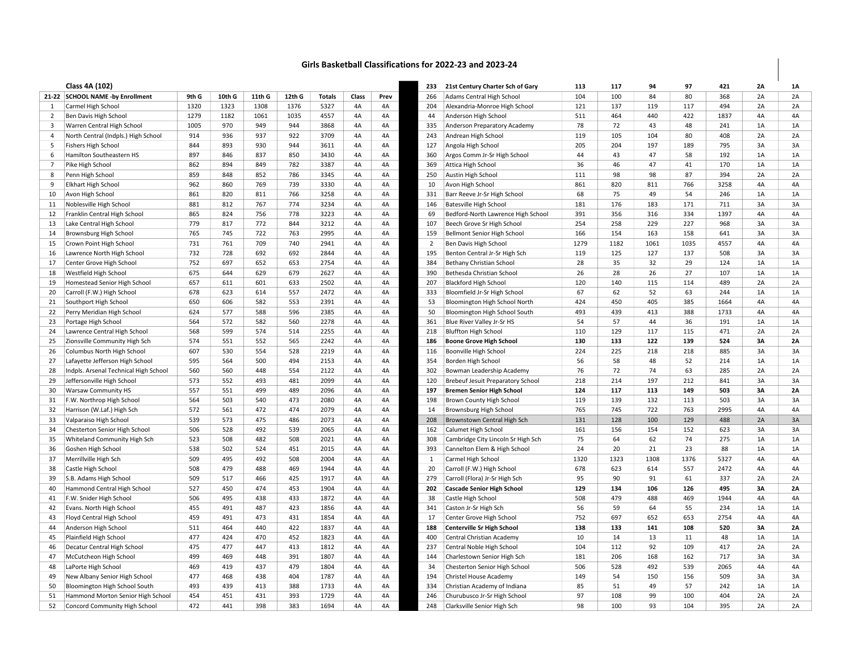## Girls Basketball Classifications for 2022-23 and 2023-24

|                | Class 4A (102)                        |       |        |        |        |               |       |      | 233            | 21st Century Charter Sch of Gary         | 113  | 117  | 94   | 97   | 421  | 2Α | 1A        |
|----------------|---------------------------------------|-------|--------|--------|--------|---------------|-------|------|----------------|------------------------------------------|------|------|------|------|------|----|-----------|
|                | 21-22 SCHOOL NAME -by Enrollment      | 9th G |        | 11th G | 12th G |               | Class |      |                | Adams Central High School                | 104  | 100  | 84   | 80   | 368  | 2A | 2A        |
|                |                                       |       | 10th G | 1308   |        | <b>Totals</b> |       | Prev | 266            |                                          |      |      |      | 117  | 494  |    | 2A        |
| 1              | Carmel High School                    | 1320  | 1323   |        | 1376   | 5327          | 4A    | 4A   | 204            | Alexandria-Monroe High School            | 121  | 137  | 119  |      |      | 2A |           |
| 2              | Ben Davis High School                 | 1279  | 1182   | 1061   | 1035   | 4557          | 4A    | 4A   | 44             | Anderson High School                     | 511  | 464  | 440  | 422  | 1837 | 4A | 4A        |
| $\overline{3}$ | Warren Central High School            | 1005  | 970    | 949    | 944    | 3868          | 4A    | 4A   | 335            | Anderson Preparatory Academy             | 78   | 72   | 43   | 48   | 241  | 1A | 1A        |
| 4              | North Central (Indpls.) High School   | 914   | 936    | 937    | 922    | 3709          | 4A    | 4A   | 243            | Andrean High School                      | 119  | 105  | 104  | 80   | 408  | 2A | 2A        |
| - 5            | <b>Fishers High School</b>            | 844   | 893    | 930    | 944    | 3611          | 4A    | 4A   | 127            | Angola High School                       | 205  | 204  | 197  | 189  | 795  | 3A | 3A        |
| 6              | Hamilton Southeastern HS              | 897   | 846    | 837    | 850    | 3430          | 4A    | 4A   | 360            | Argos Comm Jr-Sr High School             | 44   | 43   | 47   | 58   | 192  | 1A | 1A        |
| $\overline{7}$ | Pike High School                      | 862   | 894    | 849    | 782    | 3387          | 4A    | 4A   | 369            | Attica High School                       | 36   | 46   | 47   | 41   | 170  | 1A | 1A        |
| 8              | Penn High School                      | 859   | 848    | 852    | 786    | 3345          | 4A    | 4A   | 250            | Austin High School                       | 111  | 98   | 98   | 87   | 394  | 2A | 2A        |
| 9              | <b>Elkhart High School</b>            | 962   | 860    | 769    | 739    | 3330          | 4A    | 4A   | 10             | Avon High School                         | 861  | 820  | 811  | 766  | 3258 | 4A | 4A        |
| 10             | Avon High School                      | 861   | 820    | 811    | 766    | 3258          | 4A    | 4A   | 331            | Barr Reeve Jr-Sr High School             | 68   | 75   | 49   | 54   | 246  | 1A | 1A        |
| 11             | Noblesville High School               | 881   | 812    | 767    | 774    | 3234          | 4A    | 4A   | 146            | <b>Batesville High School</b>            | 181  | 176  | 183  | 171  | 711  | 3A | 3A        |
| 12             | Franklin Central High School          | 865   | 824    | 756    | 778    | 3223          | 4A    | 4A   | 69             | Bedford-North Lawrence High School       | 391  | 356  | 316  | 334  | 1397 | 4A | 4A        |
| 13             | Lake Central High School              | 779   | 817    | 772    | 844    | 3212          | 4A    | 4A   | 107            | Beech Grove Sr High School               | 254  | 258  | 229  | 227  | 968  | 3A | 3A        |
| 14             | Brownsburg High School                | 765   | 745    | 722    | 763    | 2995          | 4A    | 4A   | 159            | Bellmont Senior High School              | 166  | 154  | 163  | 158  | 641  | 3A | 3A        |
| 15             | Crown Point High School               | 731   | 761    | 709    | 740    | 2941          | 4A    | 4A   | $\overline{2}$ | Ben Davis High School                    | 1279 | 1182 | 1061 | 1035 | 4557 | 4A | 4A        |
| 16             | Lawrence North High School            | 732   | 728    | 692    | 692    | 2844          | 4A    | 4A   | 195            | Benton Central Jr-Sr High Sch            | 119  | 125  | 127  | 137  | 508  | 3A | 3A        |
| 17             | Center Grove High School              | 752   | 697    | 652    | 653    | 2754          | 4A    | 4A   | 384            | Bethany Christian School                 | 28   | 35   | 32   | 29   | 124  | 1A | 1A        |
| 18             | Westfield High School                 | 675   | 644    | 629    | 679    | 2627          | 4A    | 4A   | 390            | Bethesda Christian School                | 26   | 28   | 26   | 27   | 107  | 1A | 1A        |
| 19             | Homestead Senior High School          | 657   | 611    | 601    | 633    | 2502          | 4A    | 4A   | 207            | <b>Blackford High School</b>             | 120  | 140  | 115  | 114  | 489  | 2A | 2A        |
| 20             | Carroll (F.W.) High School            | 678   | 623    | 614    | 557    | 2472          | 4A    | 4A   | 333            | Bloomfield Jr-Sr High School             | 67   | 62   | 52   | 63   | 244  | 1A | 1A        |
| 21             | Southport High School                 | 650   | 606    | 582    | 553    | 2391          | 4A    | 4A   | 53             | Bloomington High School North            | 424  | 450  | 405  | 385  | 1664 | 4A | 4A        |
| 22             | Perry Meridian High School            | 624   | 577    | 588    | 596    | 2385          | 4A    | 4A   | 50             | Bloomington High School South            | 493  | 439  | 413  | 388  | 1733 | 4A | 4A        |
| 23             | Portage High School                   | 564   | 572    | 582    | 560    | 2278          | 4A    | 4A   | 361            | Blue River Valley Jr-Sr HS               | 54   | 57   | 44   | 36   | 191  | 1A | 1A        |
| 24             | Lawrence Central High School          | 568   | 599    | 574    | 514    | 2255          | 4A    | 4A   | 218            | <b>Bluffton High School</b>              | 110  | 129  | 117  | 115  | 471  | 2A | 2A        |
| 25             | Zionsville Community High Sch         | 574   | 551    | 552    | 565    | 2242          | 4A    | 4A   | 186            | <b>Boone Grove High School</b>           | 130  | 133  | 122  | 139  | 524  | 3A | 2A        |
| 26             | Columbus North High School            | 607   | 530    | 554    | 528    | 2219          | 4A    | 4A   | 116            | Boonville High School                    | 224  | 225  | 218  | 218  | 885  | 3A | 3A        |
| 27             | Lafayette Jefferson High School       | 595   | 564    | 500    | 494    | 2153          | 4A    | 4A   | 354            | Borden High School                       | 56   | 58   | 48   | 52   | 214  | 1A | 1A        |
| 28             | Indpls. Arsenal Technical High School | 560   | 560    | 448    | 554    | 2122          | 4A    | 4A   | 302            | Bowman Leadership Academy                | 76   | 72   | 74   | 63   | 285  | 2A | 2A        |
| 29             | Jeffersonville High School            | 573   | 552    | 493    | 481    | 2099          | 4A    | 4A   | 120            | <b>Brebeuf Jesuit Preparatory School</b> | 218  | 214  | 197  | 212  | 841  | 3A | 3A        |
| 30             | <b>Warsaw Community HS</b>            | 557   | 551    | 499    | 489    | 2096          | 4A    | 4A   | 197            | <b>Bremen Senior High School</b>         | 124  | 117  | 113  | 149  | 503  | 3A | <b>2A</b> |
| 31             | F.W. Northrop High School             | 564   | 503    | 540    | 473    | 2080          | 4A    | 4A   | 198            | Brown County High School                 | 119  | 139  | 132  | 113  | 503  | 3A | 3A        |
| 32             | Harrison (W.Laf.) High Sch            | 572   | 561    | 472    | 474    | 2079          | 4A    | 4A   | 14             | Brownsburg High School                   | 765  | 745  | 722  | 763  | 2995 | 4A | 4A        |
| 33             | Valparaiso High School                | 539   | 573    | 475    | 486    | 2073          | 4A    | 4A   | 208            | Brownstown Central High Sch              | 131  | 128  | 100  | 129  | 488  | 2A | 3A        |
| 34             | Chesterton Senior High School         | 506   | 528    | 492    | 539    | 2065          | 4A    | 4A   | 162            | Calumet High School                      | 161  | 156  | 154  | 152  | 623  | 3A | 3A        |
| 35             | Whiteland Community High Sch          | 523   | 508    | 482    | 508    | 2021          | 4A    | 4A   | 308            | Cambridge City Lincoln Sr High Sch       | 75   | 64   | 62   | 74   | 275  | 1A | 1A        |
| 36             | Goshen High School                    | 538   | 502    | 524    | 451    | 2015          | 4A    | 4A   | 393            | Cannelton Elem & High School             | 24   | 20   | 21   | 23   | 88   | 1A | 1A        |
| 37             | Merrillville High Sch                 | 509   | 495    | 492    | 508    | 2004          | 4A    | 4A   | $\mathbf{1}$   | Carmel High School                       | 1320 | 1323 | 1308 | 1376 | 5327 | 4A | 4A        |
| 38             | Castle High School                    | 508   | 479    | 488    | 469    | 1944          | 4A    | 4A   | 20             | Carroll (F.W.) High School               | 678  | 623  | 614  | 557  | 2472 | 4A | 4A        |
| 39             | S.B. Adams High School                | 509   | 517    | 466    | 425    | 1917          | 4A    | 4A   | 279            | Carroll (Flora) Jr-Sr High Sch           | 95   | 90   | 91   | 61   | 337  | 2A | 2A        |
| 40             | Hammond Central High School           | 527   | 450    | 474    | 453    | 1904          | 4A    | 4A   | 202            | <b>Cascade Senior High School</b>        | 129  | 134  | 106  | 126  | 495  | 3A | 2A        |
| 41             | F.W. Snider High School               | 506   | 495    | 438    | 433    | 1872          | 4A    | 4A   | 38             | Castle High School                       | 508  | 479  | 488  | 469  | 1944 | 4A | 4A        |
| 42             | Evans. North High School              | 455   | 491    | 487    | 423    | 1856          | 4A    | 4A   | 341            | Caston Jr-Sr High Sch                    | 56   | 59   | 64   | 55   | 234  | 1A | 1A        |
| 43             | Floyd Central High School             | 459   | 491    | 473    | 431    | 1854          | 4A    | 4A   | 17             | Center Grove High School                 | 752  | 697  | 652  | 653  | 2754 | 4A | 4A        |
| 44             | Anderson High School                  | 511   | 464    | 440    | 422    | 1837          | 4A    | 4A   | 188            | <b>Centerville Sr High School</b>        | 138  | 133  | 141  | 108  | 520  | 3A | 2A        |
| 45             | Plainfield High School                | 477   | 424    | 470    | 452    | 1823          | 4A    | 4A   | 400            | Central Christian Academy                | 10   | 14   | 13   | 11   | 48   | 1A | 1A        |
| 46             | Decatur Central High School           | 475   | 477    | 447    | 413    | 1812          | 4A    | 4A   | 237            | Central Noble High School                | 104  | 112  | 92   | 109  | 417  | 2A | 2A        |
| 47             | McCutcheon High School                | 499   | 469    | 448    | 391    | 1807          | 4A    | 4A   | 144            | Charlestown Senior High Sch              | 181  | 206  | 168  | 162  | 717  | 3A | 3A        |
| 48             | LaPorte High School                   | 469   | 419    | 437    | 479    | 1804          | 4A    | 4A   | 34             | Chesterton Senior High School            | 506  | 528  | 492  | 539  | 2065 | 4A | 4A        |
| 49             | New Albany Senior High School         | 477   | 468    | 438    | 404    | 1787          | 4A    | 4A   | 194            | Christel House Academy                   | 149  | 54   | 150  | 156  | 509  | 3A | 3A        |
| 50             | Bloomington High School South         | 493   | 439    | 413    | 388    | 1733          | 4A    | 4A   | 334            | Christian Academy of Indiana             | 85   | 51   | 49   | 57   | 242  | 1A | 1A        |
| 51             | Hammond Morton Senior High School     | 454   | 451    | 431    | 393    | 1729          | 4A    | 4A   | 246            | Churubusco Jr-Sr High School             | 97   | 108  | 99   | 100  | 404  | 2A | 2A        |
| 52             | Concord Community High School         | 472   | 441    | 398    | 383    | 1694          | 4A    | 4A   | 248            | Clarksville Senior High Sch              | 98   | 100  | 93   | 104  | 395  | 2A | 2A        |
|                |                                       |       |        |        |        |               |       |      |                |                                          |      |      |      |      |      |    |           |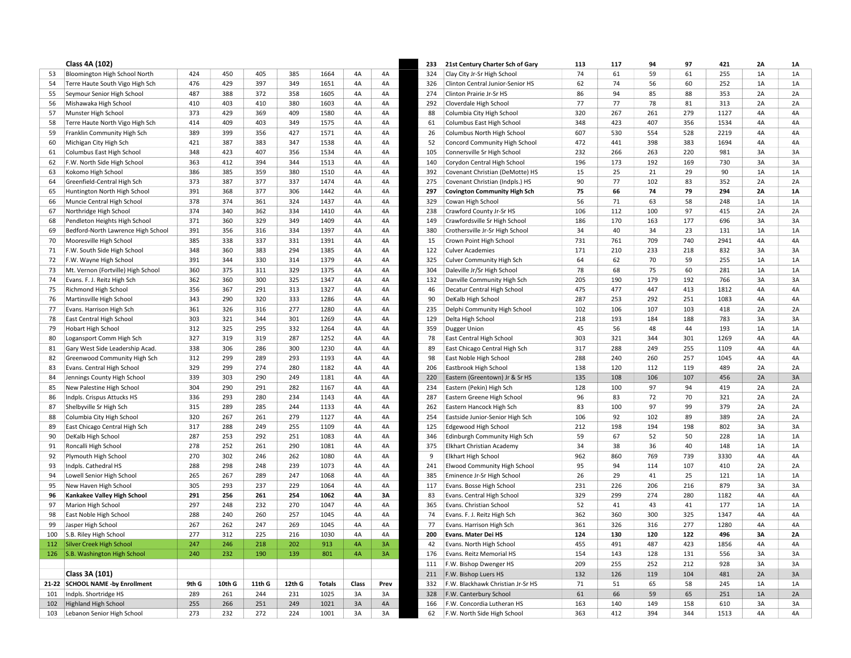|     | Class 4A (102)                     |       |        |        |        |               |       |          | 233 | 21st Century Charter Sch of Gary    | 113 | 117 | 94         | 97  | 421  | 2A       | <b>1A</b> |
|-----|------------------------------------|-------|--------|--------|--------|---------------|-------|----------|-----|-------------------------------------|-----|-----|------------|-----|------|----------|-----------|
| 53  | Bloomington High School North      | 424   | 450    | 405    | 385    | 1664          | 4A    | 4A       | 324 | Clay City Jr-Sr High School         | 74  | 61  | 59         | 61  | 255  | 1A       | 1A        |
| 54  | Terre Haute South Vigo High Sch    | 476   | 429    | 397    | 349    | 1651          | 4A    | 4A       | 326 | Clinton Central Junior-Senior HS    | 62  | 74  | 56         | 60  | 252  | $1A$     | 1A        |
| 55  | Seymour Senior High School         | 487   | 388    | 372    | 358    | 1605          | 4A    | 4A       | 274 | Clinton Prairie Jr-Sr HS            | 86  | 94  | 85         | 88  | 353  | 2A       | 2A        |
| 56  | Mishawaka High School              | 410   | 403    | 410    | 380    | 1603          | 4A    | 4A       | 292 | Cloverdale High School              | 77  | 77  | 78         | 81  | 313  | 2A       | 2A        |
| 57  | Munster High School                | 373   | 429    | 369    | 409    | 1580          | 4A    | 4A       | 88  | Columbia City High School           | 320 | 267 | 261        | 279 | 1127 | 4A       | 4A        |
| 58  | Terre Haute North Vigo High Sch    | 414   | 409    | 403    | 349    | 1575          | 4A    | 4A       | 61  | Columbus East High School           | 348 | 423 | 407        | 356 | 1534 | 4A       | 4A        |
| 59  | Franklin Community High Sch        | 389   | 399    | 356    | 427    | 1571          | 4A    | 4A       | 26  | Columbus North High School          | 607 | 530 | 554        | 528 | 2219 | 4A       | 4A        |
| 60  | Michigan City High Sch             | 421   | 387    | 383    | 347    | 1538          | 4A    | 4A       | 52  | Concord Community High School       | 472 | 441 | 398        | 383 | 1694 | 4A       | 4A        |
| 61  | Columbus East High School          | 348   | 423    | 407    | 356    | 1534          | 4A    | 4A       | 105 | Connersville Sr High School         | 232 | 266 | 263        | 220 | 981  | 3A       | 3A        |
| 62  | F.W. North Side High School        | 363   | 412    | 394    | 344    | 1513          | 4A    | 4A       | 140 | Corydon Central High School         | 196 | 173 | 192        | 169 | 730  | 3A       | 3A        |
| 63  | Kokomo High School                 | 386   | 385    | 359    | 380    | 1510          | 4A    | 4A       | 392 | Covenant Christian (DeMotte) HS     | 15  | 25  | 21         | 29  | 90   | 1A       | 1A        |
| 64  | Greenfield-Central High Sch        | 373   | 387    | 377    | 337    | 1474          | 4A    | 4A       | 275 | Covenant Christian (Indpls.) HS     | 90  | 77  | 102        | 83  | 352  | 2A       | 2A        |
| 65  | Huntington North High School       | 391   | 368    | 377    | 306    | 1442          | 4A    | 4A       | 297 | <b>Covington Community High Sch</b> | 75  | 66  | 74         | 79  | 294  | 2A       | <b>1A</b> |
| 66  | Muncie Central High School         | 378   | 374    | 361    | 324    | 1437          | 4A    | 4A       | 329 | Cowan High School                   | 56  | 71  | 63         | 58  | 248  | $1A$     | 1A        |
| 67  | Northridge High School             | 374   | 340    | 362    | 334    | 1410          | 4A    | 4A       | 238 | Crawford County Jr-Sr HS            | 106 | 112 | 100        | 97  | 415  | 2A       | 2A        |
| 68  | Pendleton Heights High School      | 371   | 360    | 329    | 349    | 1409          | 4A    | 4A       | 149 | Crawfordsville Sr High School       | 186 | 170 | 163        | 177 | 696  | 3A       | 3A        |
| 69  | Bedford-North Lawrence High School | 391   | 356    | 316    | 334    | 1397          | 4A    | 4A       | 380 | Crothersville Jr-Sr High School     | 34  | 40  | 34         | 23  | 131  | 1A       | 1A        |
| 70  | Mooresville High School            | 385   | 338    | 337    | 331    | 1391          | 4A    | 4A       | 15  | Crown Point High School             | 731 | 761 | 709        | 740 | 2941 | 4A       | 4A        |
| 71  | F.W. South Side High School        | 348   | 360    | 383    | 294    | 1385          | 4A    | 4A       | 122 | <b>Culver Academies</b>             | 171 | 210 | 233        | 218 | 832  | 3A       | 3A        |
| 72  | F.W. Wayne High School             | 391   | 344    | 330    | 314    | 1379          | 4A    | 4A       | 325 | Culver Community High Sch           | 64  | 62  | 70         | 59  | 255  | 1A       | 1A        |
| 73  | Mt. Vernon (Fortville) High School | 360   | 375    | 311    | 329    | 1375          | 4A    | 4A       | 304 | Daleville Jr/Sr High School         | 78  | 68  | 75         | 60  | 281  | $1A$     | 1A        |
| 74  | Evans. F. J. Reitz High Sch        | 362   | 360    | 300    | 325    | 1347          | 4A    | 4A       | 132 | Danville Community High Sch         | 205 | 190 | 179        | 192 | 766  | 3A       | 3A        |
| 75  | Richmond High School               | 356   | 367    | 291    | 313    | 1327          | 4A    | 4A       | 46  | Decatur Central High School         | 475 | 477 | 447        | 413 | 1812 | 4A       | 4A        |
| 76  | Martinsville High School           | 343   | 290    | 320    | 333    | 1286          | 4A    | 4A       | 90  | DeKalb High School                  | 287 | 253 | 292        | 251 | 1083 | 4A       | 4A        |
| 77  | Evans. Harrison High Sch           | 361   | 326    | 316    | 277    | 1280          | 4A    | 4A       | 235 | Delphi Community High School        | 102 | 106 | 107        | 103 | 418  | 2A       | 2A        |
| 78  | East Central High School           | 303   | 321    | 344    | 301    | 1269          | 4A    | 4A       | 129 | Delta High School                   | 218 | 193 | 184        | 188 | 783  | 3A       | 3A        |
| 79  | <b>Hobart High School</b>          | 312   | 325    | 295    | 332    | 1264          | 4A    | 4A       | 359 | <b>Dugger Union</b>                 | 45  | 56  | 48         | 44  | 193  | 1A       | 1A        |
| 80  | Logansport Comm High Sch           | 327   | 319    | 319    | 287    | 1252          | 4A    | 4A       | 78  | East Central High School            | 303 | 321 | 344        | 301 | 1269 | 4A       | 4A        |
| 81  | Gary West Side Leadership Acad.    | 338   | 306    | 286    | 300    | 1230          | 4A    | 4A       | 89  | East Chicago Central High Sch       | 317 | 288 | 249        | 255 | 1109 | 4A       | 4A        |
| 82  | Greenwood Community High Sch       | 312   | 299    | 289    | 293    | 1193          | 4A    | 4A       | 98  | East Noble High School              | 288 | 240 | 260        | 257 | 1045 | 4A       | 4A        |
| 83  | Evans. Central High School         | 329   | 299    | 274    | 280    | 1182          | 4A    | 4A       | 206 | Eastbrook High School               | 138 | 120 | 112        | 119 | 489  | 2A       | 2A        |
| 84  | Jennings County High School        | 339   | 303    | 290    | 249    | 1181          | 4A    | 4A       | 220 | Eastern (Greentown) Jr & Sr HS      | 135 | 108 | 106        | 107 | 456  | 2A       | 3A        |
| 85  | New Palestine High School          | 304   | 290    | 291    | 282    | 1167          | 4A    | 4A       | 234 | Eastern (Pekin) High Sch            | 128 | 100 | 97         | 94  | 419  | 2A       | 2A        |
| 86  | Indpls. Crispus Attucks HS         | 336   | 293    | 280    | 234    | 1143          | 4A    | 4A       | 287 | Eastern Greene High School          | 96  | 83  | 72         | 70  | 321  | 2A       | 2A        |
| 87  | Shelbyville Sr High Sch            | 315   | 289    | 285    | 244    | 1133          | 4A    | 4A       | 262 | Eastern Hancock High Sch            | 83  | 100 | 97         | 99  | 379  | 2A       | 2A        |
| 88  | Columbia City High School          | 320   | 267    | 261    | 279    | 1127          | 4A    | 4A       | 254 | Eastside Junior-Senior High Sch     | 106 | 92  | 102        | 89  | 389  | 2A       | 2A        |
| 89  | East Chicago Central High Sch      | 317   | 288    | 249    | 255    | 1109          | 4A    | 4A       | 125 | Edgewood High School                | 212 | 198 | 194        | 198 | 802  | 3A       | 3A        |
| 90  | DeKalb High School                 | 287   | 253    | 292    | 251    | 1083          | 4A    | 4A       | 346 | Edinburgh Community High Sch        | 59  | 67  | 52         | 50  | 228  | 1A       | 1A        |
| 91  | Roncalli High School               | 278   | 252    | 261    | 290    | 1081          | 4A    | 4A       | 375 | Elkhart Christian Academy           | 34  | 38  | 36         | 40  | 148  | 1A       | 1A        |
| 92  | Plymouth High School               | 270   | 302    | 246    | 262    | 1080          | 4A    | 4A       | 9   | <b>Elkhart High School</b>          | 962 | 860 | 769        | 739 | 3330 | 4A       | 4A        |
| 93  | Indpls. Cathedral HS               | 288   | 298    | 248    | 239    | 1073          | 4A    | 4A       | 241 | Elwood Community High School        | 95  | 94  | 114        | 107 | 410  | 2A       | 2A        |
| 94  | Lowell Senior High School          | 265   | 267    | 289    | 247    | 1068          | 4A    | 4A       | 385 | Eminence Jr-Sr High School          | 26  | 29  | 41         | 25  | 121  | 1A       | 1A        |
| 95  | New Haven High School              | 305   | 293    | 237    | 229    | 1064          | 4A    | 4A       | 117 | Evans. Bosse High School            | 231 | 226 | 206        | 216 | 879  | 3A       | 3A        |
| 96  | Kankakee Valley High School        | 291   | 256    | 261    | 254    | 1062          | 4A    | 3A       | 83  | Evans. Central High School          | 329 | 299 | 274        | 280 | 1182 | 4A       | 4A        |
| 97  | Marion High School                 | 297   | 248    | 232    | 270    | 1047          | 4A    | 4A       | 365 | Evans. Christian School             | 52  | 41  | 43         | 41  | 177  | $1A$     | 1A        |
| 98  | East Noble High School             | 288   | 240    | 260    | 257    | 1045          | 4A    | 4A       | 74  | Evans. F. J. Reitz High Sch         | 362 | 360 | 300        | 325 | 1347 | 4A       | 4A        |
| 99  | Jasper High School                 | 267   | 262    | 247    | 269    | 1045          | 4A    | 4A       | 77  | Evans. Harrison High Sch            | 361 | 326 | 316        | 277 | 1280 | 4A       | 4A        |
| 100 | S.B. Riley High School             | 277   | 312    | 225    | 216    | 1030          | 4A    | 4A       | 200 | Evans. Mater Dei HS                 | 124 | 130 | 120        | 122 | 496  | 3A       | 2A        |
|     | 112   Silver Creek High School     | 247   | 246    | 218    | 202    | 913           | 4A    | 3A       | 42  | Evans. North High School            | 455 | 491 | 487        | 423 | 1856 | 4A       | 4A        |
|     | 126 S.B. Washington High School    | 240   | 232    | 190    | 139    | 801           | 4A    | 3A       | 176 | Evans. Reitz Memorial HS            | 154 | 143 | 128        | 131 | 556  | 3A       | 3A        |
|     |                                    |       |        |        |        |               |       |          | 111 | F.W. Bishop Dwenger HS              | 209 | 255 | 252        | 212 | 928  | 3A       | 3A        |
|     | Class 3A (101)                     |       |        |        |        |               |       |          | 211 | F.W. Bishop Luers HS                | 132 | 126 | 119        | 104 | 481  | 2A       | 3A        |
|     | 21-22 SCHOOL NAME -by Enrollment   | 9th G | 10th G | 11th G | 12th G | <b>Totals</b> | Class | Prev     | 332 | F.W. Blackhawk Christian Jr-Sr HS   | 71  | 51  | 65         | 58  | 245  | 1A       | 1A        |
| 101 | Indpls. Shortridge HS              | 289   | 261    | 244    | 231    | 1025          | 3A    | 3A       | 328 | F.W. Canterbury School              | 61  | 66  | 59         | 65  | 251  | 1A       | 2A        |
|     | 102 Highland High School           | 255   | 266    | 251    | 249    | 1021          | 3A    | 4A<br>3A | 166 | F.W. Concordia Lutheran HS          | 163 | 140 | 149<br>394 | 158 | 610  | 3A<br>4A | 3A<br>4A  |
|     | 103 Lebanon Senior High School     | 273   | 232    | 272    | 224    | 1001          | 3A    |          | 62  | F.W. North Side High School         | 363 | 412 |            | 344 | 1513 |          |           |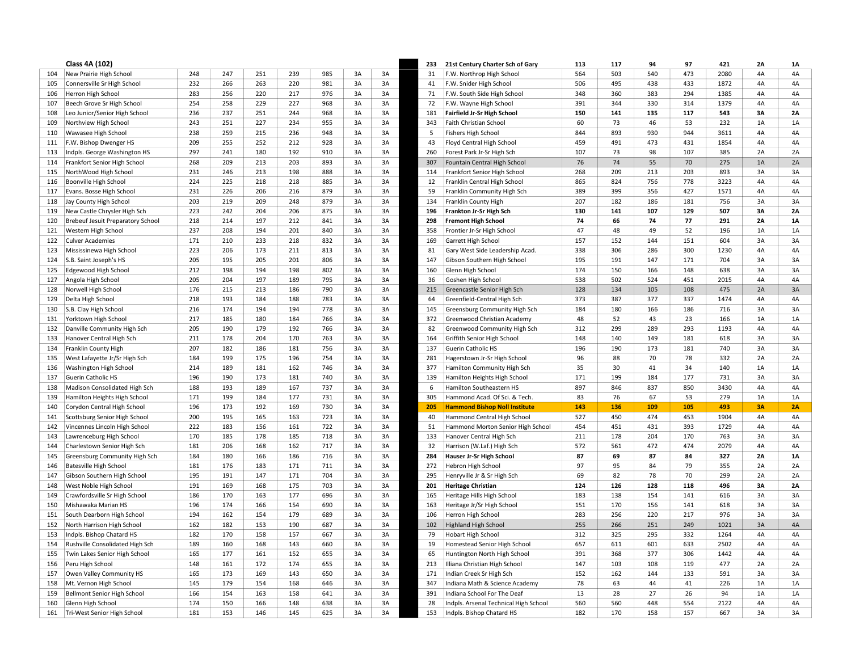|     | Class 4A (102)                           |     |     |     |     |     |    |    | 233 | 21st Century Charter Sch of Gary      | 113 | 117 | 94  | 97  | 421  | 2A | 1A        |
|-----|------------------------------------------|-----|-----|-----|-----|-----|----|----|-----|---------------------------------------|-----|-----|-----|-----|------|----|-----------|
| 104 | New Prairie High School                  | 248 | 247 | 251 | 239 | 985 | 3A | 3A | 31  | F.W. Northrop High School             | 564 | 503 | 540 | 473 | 2080 | 4A | 4A        |
| 105 | Connersville Sr High School              | 232 | 266 | 263 | 220 | 981 | 3A | 3A | 41  | F.W. Snider High School               | 506 | 495 | 438 | 433 | 1872 | 4A | 4A        |
| 106 | Herron High School                       | 283 | 256 | 220 | 217 | 976 | 3A | 3A | 71  | F.W. South Side High School           | 348 | 360 | 383 | 294 | 1385 | 4A | 4A        |
| 107 | Beech Grove Sr High School               | 254 | 258 | 229 | 227 | 968 | 3A | 3A | 72  | F.W. Wayne High School                | 391 | 344 | 330 | 314 | 1379 | 4A | 4A        |
| 108 | Leo Junior/Senior High School            | 236 | 237 | 251 | 244 | 968 | 3A | 3A | 181 | <b>Fairfield Jr-Sr High School</b>    | 150 | 141 | 135 | 117 | 543  | 3A | 2A        |
| 109 | Northview High School                    | 243 | 251 | 227 | 234 | 955 | 3A | 3A | 343 | Faith Christian School                | 60  | 73  | 46  | 53  | 232  | 1A | 1A        |
| 110 | Wawasee High School                      | 238 | 259 | 215 | 236 | 948 | 3A | 3A | 5   | <b>Fishers High School</b>            | 844 | 893 | 930 | 944 | 3611 | 4A | 4A        |
| 111 | F.W. Bishop Dwenger HS                   | 209 | 255 | 252 | 212 | 928 | 3A | 3A | 43  | Floyd Central High School             | 459 | 491 | 473 | 431 | 1854 | 4A | 4A        |
| 113 | Indpls. George Washington HS             | 297 | 241 | 180 | 192 | 910 | 3A | 3A | 260 | Forest Park Jr-Sr High Sch            | 107 | 73  | 98  | 107 | 385  | 2A | 2A        |
| 114 | Frankfort Senior High School             | 268 | 209 | 213 | 203 | 893 | 3A | 3A | 307 | Fountain Central High School          | 76  | 74  | 55  | 70  | 275  | 1A | 2A        |
| 115 | NorthWood High School                    | 231 | 246 | 213 | 198 | 888 | 3A | 3A | 114 | Frankfort Senior High School          | 268 | 209 | 213 | 203 | 893  | 3A | 3A        |
| 116 | Boonville High School                    | 224 | 225 | 218 | 218 | 885 | 3A | 3A | 12  | Franklin Central High School          | 865 | 824 | 756 | 778 | 3223 | 4A | 4A        |
| 117 | Evans. Bosse High School                 | 231 | 226 | 206 | 216 | 879 | 3A | 3A | 59  | Franklin Community High Sch           | 389 | 399 | 356 | 427 | 1571 | 4A | 4A        |
| 118 | Jay County High School                   | 203 | 219 | 209 | 248 | 879 | 3A | 3A | 134 | Franklin County High                  | 207 | 182 | 186 | 181 | 756  | 3A | 3A        |
| 119 | New Castle Chrysler High Sch             | 223 | 242 | 204 | 206 | 875 | 3A | 3A | 196 | Frankton Jr-Sr High Sch               | 130 | 141 | 107 | 129 | 507  | 3A | 2A        |
| 120 | <b>Brebeuf Jesuit Preparatory School</b> | 218 | 214 | 197 | 212 | 841 | 3A | 3A | 298 | <b>Fremont High School</b>            | 74  | 66  | 74  | 77  | 291  | 2A | 1A        |
| 121 | Western High School                      | 237 | 208 | 194 | 201 | 840 | 3A | 3A | 358 | Frontier Jr-Sr High School            | 47  | 48  | 49  | 52  | 196  | 1A | 1A        |
| 122 | <b>Culver Academies</b>                  | 171 | 210 | 233 | 218 | 832 | 3A | 3A | 169 | Garrett High School                   | 157 | 152 | 144 | 151 | 604  | 3A | 3A        |
| 123 | Mississinewa High School                 | 223 | 206 | 173 | 211 | 813 | 3A | 3A | 81  | Gary West Side Leadership Acad.       | 338 | 306 | 286 | 300 | 1230 | 4A | 4A        |
| 124 | S.B. Saint Joseph's HS                   | 205 | 195 | 205 | 201 | 806 | 3A | 3A | 147 | Gibson Southern High School           | 195 | 191 | 147 | 171 | 704  | 3A | 3A        |
| 125 | Edgewood High School                     | 212 | 198 | 194 | 198 | 802 | 3A | 3A | 160 | Glenn High School                     | 174 | 150 | 166 | 148 | 638  | 3A | 3A        |
| 127 | Angola High School                       | 205 | 204 | 197 | 189 | 795 | 3A | 3A | 36  | Goshen High School                    | 538 | 502 | 524 | 451 | 2015 | 4A | 4A        |
| 128 | Norwell High School                      | 176 | 215 | 213 | 186 | 790 | 3A | 3A | 215 | Greencastle Senior High Sch           | 128 | 134 | 105 | 108 | 475  | 2A | 3A        |
| 129 | Delta High School                        | 218 | 193 | 184 | 188 | 783 | 3A | 3A | 64  | Greenfield-Central High Sch           | 373 | 387 | 377 | 337 | 1474 | 4A | 4A        |
| 130 | S.B. Clay High School                    | 216 | 174 | 194 | 194 | 778 | 3A | 3A | 145 | Greensburg Community High Sch         | 184 | 180 | 166 | 186 | 716  | 3A | 3A        |
| 131 | Yorktown High School                     | 217 | 185 | 180 | 184 | 766 | 3A | 3A | 372 | Greenwood Christian Academy           | 48  | 52  | 43  | 23  | 166  | 1A | 1A        |
| 132 | Danville Community High Sch              | 205 | 190 | 179 | 192 | 766 | 3A | 3A | 82  | Greenwood Community High Sch          | 312 | 299 | 289 | 293 | 1193 | 4A | 4A        |
| 133 | Hanover Central High Sch                 | 211 | 178 | 204 | 170 | 763 | 3A | 3A | 164 | Griffith Senior High School           | 148 | 140 | 149 | 181 | 618  | 3A | 3A        |
| 134 | Franklin County High                     | 207 | 182 | 186 | 181 | 756 | 3A | 3A | 137 | Guerin Catholic HS                    | 196 | 190 | 173 | 181 | 740  | 3A | 3A        |
| 135 | West Lafayette Jr/Sr High Sch            | 184 | 199 | 175 | 196 | 754 | 3A | 3A | 281 | Hagerstown Jr-Sr High School          | 96  | 88  | 70  | 78  | 332  | 2A | 2A        |
| 136 | Washington High School                   | 214 | 189 | 181 | 162 | 746 | 3A | 3A | 377 | Hamilton Community High Sch           | 35  | 30  | 41  | 34  | 140  | 1A | 1A        |
| 137 | <b>Guerin Catholic HS</b>                | 196 | 190 | 173 | 181 | 740 | 3A | 3A | 139 | Hamilton Heights High School          | 171 | 199 | 184 | 177 | 731  | 3A | 3A        |
| 138 | Madison Consolidated High Sch            | 188 | 193 | 189 | 167 | 737 | 3A | 3A | 6   | Hamilton Southeastern HS              | 897 | 846 | 837 | 850 | 3430 | 4A | 4A        |
| 139 | Hamilton Heights High School             | 171 | 199 | 184 | 177 | 731 | 3A | 3A | 305 | Hammond Acad. Of Sci. & Tech.         | 83  | 76  | 67  | 53  | 279  | 1A | 1A        |
| 140 | Corydon Central High School              | 196 | 173 | 192 | 169 | 730 | 3A | 3A | 205 | <b>Hammond Bishop Noll Institute</b>  | 143 | 136 | 109 | 105 | 493  | 3A | 2A        |
| 141 | Scottsburg Senior High School            | 200 | 195 | 165 | 163 | 723 | 3A | 3A | 40  | Hammond Central High School           | 527 | 450 | 474 | 453 | 1904 | 4A | 4A        |
| 142 | Vincennes Lincoln High School            | 222 | 183 | 156 | 161 | 722 | 3A | 3A | 51  | Hammond Morton Senior High School     | 454 | 451 | 431 | 393 | 1729 | 4A | 4A        |
| 143 | Lawrenceburg High School                 | 170 | 185 | 178 | 185 | 718 | 3A | 3A | 133 | Hanover Central High Sch              | 211 | 178 | 204 | 170 | 763  | 3A | 3A        |
| 144 | Charlestown Senior High Sch              | 181 | 206 | 168 | 162 | 717 | 3A | 3A | 32  | Harrison (W.Laf.) High Sch            | 572 | 561 | 472 | 474 | 2079 | 4A | 4A        |
| 145 | Greensburg Community High Sch            | 184 | 180 | 166 | 186 | 716 | 3A | 3A | 284 | Hauser Jr-Sr High School              | 87  | 69  | 87  | 84  | 327  | 2A | <b>1A</b> |
| 146 | <b>Batesville High School</b>            | 181 | 176 | 183 | 171 | 711 | 3A | 3A | 272 | Hebron High School                    | 97  | 95  | 84  | 79  | 355  | 2A | 2A        |
| 147 | Gibson Southern High School              | 195 | 191 | 147 | 171 | 704 | 3A | 3A | 295 | Henryville Jr & Sr High Sch           | 69  | 82  | 78  | 70  | 299  | 2A | 2A        |
| 148 | West Noble High School                   | 191 | 169 | 168 | 175 | 703 | 3A | 3A | 201 | <b>Heritage Christian</b>             | 124 | 126 | 128 | 118 | 496  | 3A | 2A        |
| 149 | Crawfordsville Sr High School            | 186 | 170 | 163 | 177 | 696 | 3A | 3A | 165 | Heritage Hills High School            | 183 | 138 | 154 | 141 | 616  | 3A | 3A        |
| 150 | Mishawaka Marian HS                      | 196 | 174 | 166 | 154 | 690 | 3A | 3A | 163 | Heritage Jr/Sr High School            | 151 | 170 | 156 | 141 | 618  | 3A | 3A        |
| 151 | South Dearborn High School               | 194 | 162 | 154 | 179 | 689 | 3A | 3A | 106 | Herron High School                    | 283 | 256 | 220 | 217 | 976  | 3A | 3A        |
| 152 | North Harrison High School               | 162 | 182 | 153 | 190 | 687 | 3A | 3A | 102 | Highland High School                  | 255 | 266 | 251 | 249 | 1021 | 3A | 4A        |
| 153 | Indpls. Bishop Chatard HS                | 182 | 170 | 158 | 157 | 667 | 3A | 3A | 79  | <b>Hobart High School</b>             | 312 | 325 | 295 | 332 | 1264 | 4A | 4A        |
| 154 | Rushville Consolidated High Sch          | 189 | 160 | 168 | 143 | 660 | 3A | 3A | 19  | Homestead Senior High School          | 657 | 611 | 601 | 633 | 2502 | 4A | 4A        |
| 155 | Twin Lakes Senior High School            | 165 | 177 | 161 | 152 | 655 | 3A | 3A | 65  | Huntington North High School          | 391 | 368 | 377 | 306 | 1442 | 4A | 4A        |
| 156 | Peru High School                         | 148 | 161 | 172 | 174 | 655 | 3A | 3A | 213 | Illiana Christian High School         | 147 | 103 | 108 | 119 | 477  | 2A | 2A        |
| 157 | Owen Valley Community HS                 | 165 | 173 | 169 | 143 | 650 | 3A | 3A | 171 | Indian Creek Sr High Sch              | 152 | 162 | 144 | 133 | 591  | 3A | 3A        |
| 158 | Mt. Vernon High School                   | 145 | 179 | 154 | 168 | 646 | 3A | 3A | 347 | Indiana Math & Science Academy        | 78  | 63  | 44  | 41  | 226  | 1A | 1A        |
| 159 | Bellmont Senior High School              | 166 | 154 | 163 | 158 | 641 | 3A | 3A | 391 | Indiana School For The Deaf           | 13  | 28  | 27  | 26  | 94   | 1A | 1A        |
| 160 | Glenn High School                        | 174 | 150 | 166 | 148 | 638 | 3A | 3A | 28  | Indpls. Arsenal Technical High School | 560 | 560 | 448 | 554 | 2122 | 4A | 4A        |
| 161 | Tri-West Senior High School              | 181 | 153 | 146 | 145 | 625 | 3A | 3A | 153 | Indpls. Bishop Chatard HS             | 182 | 170 | 158 | 157 | 667  | 3A | 3A        |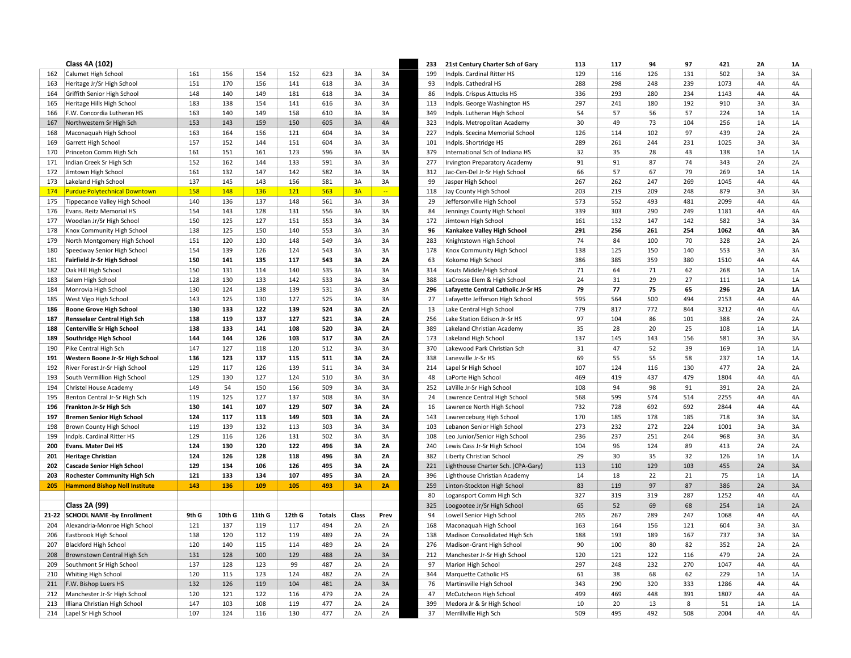|     | Class 4A (102)                       |       |        |        |        |               |       |           | 233 | 21st Century Charter Sch of Gary     | 113 | 117 | 94  | 97  | 421  | 2A | 1A        |
|-----|--------------------------------------|-------|--------|--------|--------|---------------|-------|-----------|-----|--------------------------------------|-----|-----|-----|-----|------|----|-----------|
| 162 | Calumet High School                  | 161   | 156    | 154    | 152    | 623           | 3A    | 3A        | 199 | Indpls. Cardinal Ritter HS           | 129 | 116 | 126 | 131 | 502  | 3A | 3A        |
| 163 | Heritage Jr/Sr High School           | 151   | 170    | 156    | 141    | 618           | 3A    | 3A        | 93  | Indpls. Cathedral HS                 | 288 | 298 | 248 | 239 | 1073 | 4A | 4A        |
| 164 | Griffith Senior High School          | 148   | 140    | 149    | 181    | 618           | 3A    | 3A        | 86  | Indpls. Crispus Attucks HS           | 336 | 293 | 280 | 234 | 1143 | 4A | 4A        |
| 165 | Heritage Hills High School           | 183   | 138    | 154    | 141    | 616           | 3A    | 3A        | 113 | Indpls. George Washington HS         | 297 | 241 | 180 | 192 | 910  | 3A | 3A        |
| 166 | F.W. Concordia Lutheran HS           | 163   | 140    | 149    | 158    | 610           | 3A    | 3A        | 349 | Indpls. Lutheran High School         | 54  | 57  | 56  | 57  | 224  | 1A | 1A        |
| 167 | Northwestern Sr High Sch             | 153   | 143    | 159    | 150    | 605           | 3A    | 4A        | 323 | Indpls. Metropolitan Academy         | 30  | 49  | 73  | 104 | 256  | 1A | 1A        |
| 168 | Maconaquah High School               | 163   | 164    | 156    | 121    | 604           | 3A    | 3A        | 227 | Indpls. Scecina Memorial School      | 126 | 114 | 102 | 97  | 439  | 2A | 2A        |
| 169 | Garrett High School                  | 157   | 152    | 144    | 151    | 604           | 3A    | 3A        | 101 | Indpls. Shortridge HS                | 289 | 261 | 244 | 231 | 1025 | 3A | 3A        |
| 170 | Princeton Comm High Sch              | 161   | 151    | 161    | 123    | 596           | 3A    | 3A        | 379 | International Sch of Indiana HS      | 32  | 35  | 28  | 43  | 138  | 1A | 1A        |
| 171 | Indian Creek Sr High Sch             | 152   | 162    | 144    | 133    | 591           | 3A    | 3A        | 277 | <b>Irvington Preparatory Academy</b> | 91  | 91  | 87  | 74  | 343  | 2A | 2A        |
| 172 | Jimtown High School                  | 161   | 132    | 147    | 142    | 582           | 3A    | 3A        | 312 | Jac-Cen-Del Jr-Sr High School        | 66  | 57  | 67  | 79  | 269  | 1A | 1A        |
| 173 | Lakeland High School                 | 137   | 145    | 143    | 156    | 581           | 3A    | 3A        | 99  | Jasper High School                   | 267 | 262 | 247 | 269 | 1045 | 4A | 4A        |
| 174 | <b>Purdue Polytechnical Downtown</b> | 158   | 148    | 136    | 121    | 563           | 3A    | <b>Co</b> | 118 | Jay County High School               | 203 | 219 | 209 | 248 | 879  | 3A | 3A        |
| 175 | Tippecanoe Valley High School        | 140   | 136    | 137    | 148    | 561           | 3A    | 3A        | 29  | Jeffersonville High School           | 573 | 552 | 493 | 481 | 2099 | 4A | 4A        |
| 176 | Evans. Reitz Memorial HS             | 154   | 143    | 128    | 131    | 556           | 3A    | 3A        | 84  | Jennings County High School          | 339 | 303 | 290 | 249 | 1181 | 4A | 4A        |
| 177 | Woodlan Jr/Sr High School            | 150   | 125    | 127    | 151    | 553           | 3A    | 3A        | 172 | Jimtown High School                  | 161 | 132 | 147 | 142 | 582  | 3A | 3A        |
| 178 | Knox Community High School           | 138   | 125    | 150    | 140    | 553           | 3A    | 3A        | 96  | Kankakee Valley High School          | 291 | 256 | 261 | 254 | 1062 | 4A | 3A        |
| 179 | North Montgomery High School         | 151   | 120    | 130    | 148    | 549           | 3A    | 3A        | 283 | Knightstown High School              | 74  | 84  | 100 | 70  | 328  | 2A | 2A        |
| 180 | Speedway Senior High School          | 154   | 139    | 126    | 124    | 543           | 3A    | 3A        | 178 | Knox Community High School           | 138 | 125 | 150 | 140 | 553  | 3A | 3A        |
| 181 | <b>Fairfield Jr-Sr High School</b>   | 150   | 141    | 135    | 117    | 543           | 3A    | 2A        | 63  | Kokomo High School                   | 386 | 385 | 359 | 380 | 1510 | 4A | 4A        |
| 182 | Oak Hill High School                 | 150   | 131    | 114    | 140    | 535           | 3A    | 3A        | 314 | Kouts Middle/High School             | 71  | 64  | 71  | 62  | 268  | 1A | 1A        |
| 183 | Salem High School                    | 128   | 130    | 133    | 142    | 533           | 3A    | 3A        | 388 | LaCrosse Elem & High School          | 24  | 31  | 29  | 27  | 111  | 1A | 1A        |
| 184 | Monrovia High School                 | 130   | 124    | 138    | 139    | 531           | 3A    | 3A        | 296 | Lafayette Central Catholic Jr-Sr HS  | 79  | 77  | 75  | 65  | 296  | 2A | <b>1A</b> |
| 185 | West Vigo High School                | 143   | 125    | 130    | 127    | 525           | 3A    | 3A        | 27  | Lafayette Jefferson High School      | 595 | 564 | 500 | 494 | 2153 | 4A | 4A        |
| 186 | <b>Boone Grove High School</b>       | 130   | 133    | 122    | 139    | 524           | 3A    | 2A        | 13  | Lake Central High School             | 779 | 817 | 772 | 844 | 3212 | 4A | 4A        |
| 187 | <b>Rensselaer Central High Sch</b>   | 138   | 119    | 137    | 127    | 521           | 3A    | <b>2A</b> | 256 | Lake Station Edison Jr-Sr HS         | 97  | 104 | 86  | 101 | 388  | 2A | 2A        |
| 188 | <b>Centerville Sr High School</b>    | 138   | 133    | 141    | 108    | 520           | 3A    | 2A        | 389 | Lakeland Christian Academy           | 35  | 28  | 20  | 25  | 108  | 1A | 1A        |
| 189 | <b>Southridge High School</b>        | 144   | 144    | 126    | 103    | 517           | 3A    | <b>2A</b> | 173 | Lakeland High School                 | 137 | 145 | 143 | 156 | 581  | 3A | 3A        |
| 190 | Pike Central High Sch                | 147   | 127    | 118    | 120    | 512           | 3A    | 3A        | 370 | Lakewood Park Christian Sch          | 31  | 47  | 52  | 39  | 169  | 1A | 1A        |
| 191 | Western Boone Jr-Sr High School      | 136   | 123    | 137    | 115    | 511           | 3A    | <b>2A</b> | 338 | Lanesville Jr-Sr HS                  | 69  | 55  | 55  | 58  | 237  | 1A | 1A        |
| 192 | River Forest Jr-Sr High School       | 129   | 117    | 126    | 139    | 511           | 3A    | 3A        | 214 | Lapel Sr High School                 | 107 | 124 | 116 | 130 | 477  | 2A | 2A        |
| 193 | South Vermillion High School         | 129   | 130    | 127    | 124    | 510           | 3A    | 3A        | 48  | LaPorte High School                  | 469 | 419 | 437 | 479 | 1804 | 4A | 4A        |
| 194 | Christel House Academy               | 149   | 54     | 150    | 156    | 509           | 3A    | 3A        | 252 | LaVille Jr-Sr High School            | 108 | 94  | 98  | 91  | 391  | 2A | 2A        |
| 195 | Benton Central Jr-Sr High Sch        | 119   | 125    | 127    | 137    | 508           | 3A    | 3A        | 24  | Lawrence Central High School         | 568 | 599 | 574 | 514 | 2255 | 4A | 4A        |
| 196 | Frankton Jr-Sr High Sch              | 130   | 141    | 107    | 129    | 507           | 3A    | 2A        | 16  | Lawrence North High School           | 732 | 728 | 692 | 692 | 2844 | 4A | 4A        |
| 197 | <b>Bremen Senior High School</b>     | 124   | 117    | 113    | 149    | 503           | 3A    | 2A        | 143 | Lawrenceburg High School             | 170 | 185 | 178 | 185 | 718  | 3A | 3A        |
| 198 | Brown County High School             | 119   | 139    | 132    | 113    | 503           | 3A    | 3A        | 103 | Lebanon Senior High School           | 273 | 232 | 272 | 224 | 1001 | 3A | 3A        |
| 199 | Indpls. Cardinal Ritter HS           | 129   | 116    | 126    | 131    | 502           | 3A    | 3A        | 108 | Leo Junior/Senior High School        | 236 | 237 | 251 | 244 | 968  | 3A | 3A        |
| 200 | Evans. Mater Dei HS                  | 124   | 130    | 120    | 122    | 496           | 3A    | <b>2A</b> | 240 | Lewis Cass Jr-Sr High School         | 104 | 96  | 124 | 89  | 413  | 2A | 2A        |
| 201 | <b>Heritage Christian</b>            | 124   | 126    | 128    | 118    | 496           | 3A    | 2A        | 382 | Liberty Christian School             | 29  | 30  | 35  | 32  | 126  | 1A | 1A        |
| 202 | <b>Cascade Senior High School</b>    | 129   | 134    | 106    | 126    | 495           | 3A    | 2Α        | 221 | Lighthouse Charter Sch. (CPA-Gary)   | 113 | 110 | 129 | 103 | 455  | 2A | 3A        |
| 203 | <b>Rochester Community High Sch</b>  | 121   | 133    | 134    | 107    | 495           | 3A    | <b>2A</b> | 396 | Lighthouse Christian Academy         | 14  | 18  | 22  | 21  | 75   | 1A | 1A        |
| 205 | <b>Hammond Bishop Noll Institute</b> | 143   | 136    | 109    | 105    | 493           | 3A    | 2A        | 259 | Linton-Stockton High School          | 83  | 119 | 97  | 87  | 386  | 2A | 3A        |
|     |                                      |       |        |        |        |               |       |           | 80  | Logansport Comm High Sch             | 327 | 319 | 319 | 287 | 1252 | 4A | 4A        |
|     | <b>Class 2A (99)</b>                 |       |        |        |        |               |       |           | 325 | Loogootee Jr/Sr High School          | 65  | 52  | 69  | 68  | 254  | 1A | 2A        |
|     | 21-22 SCHOOL NAME -by Enrollment     | 9th G | 10th G | 11th G | 12th G | <b>Totals</b> | Class | Prev      | 94  | Lowell Senior High School            | 265 | 267 | 289 | 247 | 1068 | 4A | 4A        |
| 204 | Alexandria-Monroe High School        | 121   | 137    | 119    | 117    | 494           | 2A    | 2A        | 168 | Maconaquah High School               | 163 | 164 | 156 | 121 | 604  | 3A | 3A        |
| 206 | Eastbrook High School                | 138   | 120    | 112    | 119    | 489           | 2A    | 2A        | 138 | Madison Consolidated High Sch        | 188 | 193 | 189 | 167 | 737  | 3A | 3A        |
| 207 | <b>Blackford High School</b>         | 120   | 140    | 115    | 114    | 489           | 2A    | 2A        | 276 | Madison-Grant High School            | 90  | 100 | 80  | 82  | 352  | 2A | 2A        |
| 208 | Brownstown Central High Sch          | 131   | 128    | 100    | 129    | 488           | 2A    | 3A        | 212 | Manchester Jr-Sr High School         | 120 | 121 | 122 | 116 | 479  | 2A | 2A        |
| 209 | Southmont Sr High School             | 137   | 128    | 123    | 99     | 487           | 2A    | 2A        | 97  | Marion High School                   | 297 | 248 | 232 | 270 | 1047 | 4A | 4A        |
| 210 | Whiting High School                  | 120   | 115    | 123    | 124    | 482           | 2A    | 2A        | 344 | Marquette Catholic HS                | 61  | 38  | 68  | 62  | 229  | 1A | 1A        |
| 211 | F.W. Bishop Luers HS                 | 132   | 126    | 119    | 104    | 481           | 2A    | 3A        | 76  | Martinsville High School             | 343 | 290 | 320 | 333 | 1286 | 4A | 4A        |
| 212 | Manchester Jr-Sr High School         | 120   | 121    | 122    | 116    | 479           | 2A    | 2A        | 47  | McCutcheon High School               | 499 | 469 | 448 | 391 | 1807 | 4A | 4A        |
| 213 | Illiana Christian High School        | 147   | 103    | 108    | 119    | 477           | 2A    | 2A        | 399 | Medora Jr & Sr High School           | 10  | 20  | 13  | 8   | 51   | 1A | 1A        |
| 214 | Lapel Sr High School                 | 107   | 124    | 116    | 130    | 477           | 2A    | 2A        | 37  | Merrillville High Sch                | 509 | 495 | 492 | 508 | 2004 | 4A | 4A        |
|     |                                      |       |        |        |        |               |       |           |     |                                      |     |     |     |     |      |    |           |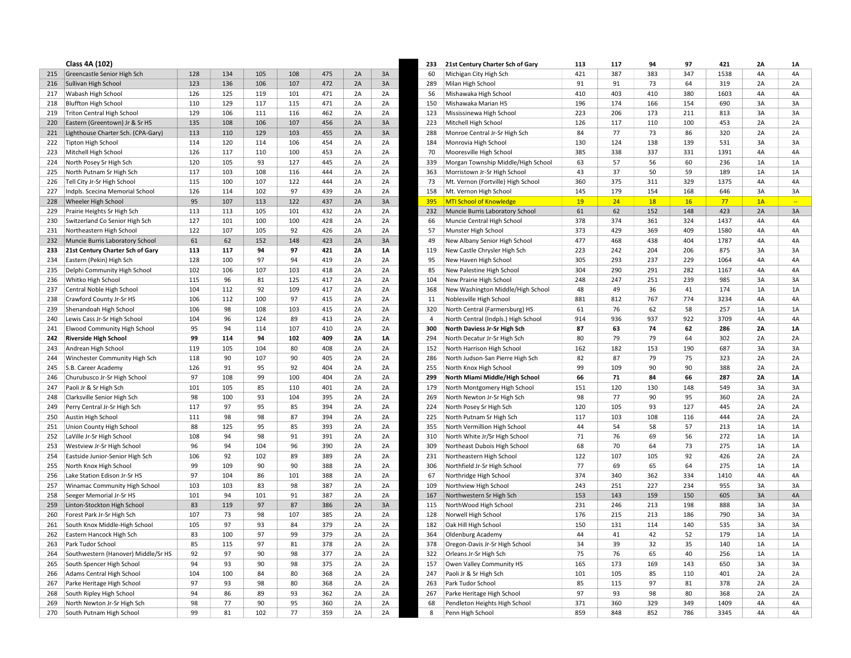|     | Class 4A (102)                      |     |     |     |     |     |    |    | 233            | 21st Century Charter Sch of Gary    | 113 | 117 | 94  | 97  | 421  | 2A   | <b>1A</b>                |
|-----|-------------------------------------|-----|-----|-----|-----|-----|----|----|----------------|-------------------------------------|-----|-----|-----|-----|------|------|--------------------------|
| 215 | Greencastle Senior High Sch         | 128 | 134 | 105 | 108 | 475 | 2A | 3A | 60             | Michigan City High Sch              | 421 | 387 | 383 | 347 | 1538 | 4A   | 4A                       |
| 216 | Sullivan High School                | 123 | 136 | 106 | 107 | 472 | 2A | 3A | 289            | Milan High School                   | 91  | 91  | 73  | 64  | 319  | 2A   | 2A                       |
| 217 | <b>Wabash High School</b>           | 126 | 125 | 119 | 101 | 471 | 2A | 2A | 56             | Mishawaka High School               | 410 | 403 | 410 | 380 | 1603 | 4A   | 4A                       |
| 218 | <b>Bluffton High School</b>         | 110 | 129 | 117 | 115 | 471 | 2A | 2A | 150            | Mishawaka Marian HS                 | 196 | 174 | 166 | 154 | 690  | 3A   | 3A                       |
| 219 | Triton Central High School          | 129 | 106 | 111 | 116 | 462 | 2A | 2A | 123            | Mississinewa High School            | 223 | 206 | 173 | 211 | 813  | 3A   | 3A                       |
| 220 | Eastern (Greentown) Jr & Sr HS      | 135 | 108 | 106 | 107 | 456 | 2A | 3A | 223            | Mitchell High School                | 126 | 117 | 110 | 100 | 453  | 2A   | 2A                       |
| 221 | Lighthouse Charter Sch. (CPA-Gary)  | 113 | 110 | 129 | 103 | 455 | 2A | 3A | 288            | Monroe Central Jr-Sr High Sch       | 84  | 77  | 73  | 86  | 320  | 2A   | 2A                       |
| 222 | Tipton High School                  | 114 | 120 | 114 | 106 | 454 | 2A | 2A | 184            | Monrovia High School                | 130 | 124 | 138 | 139 | 531  | 3A   | 3A                       |
| 223 | Mitchell High School                | 126 | 117 | 110 | 100 | 453 | 2A | 2A | 70             | Mooresville High School             | 385 | 338 | 337 | 331 | 1391 | 4A   | 4A                       |
| 224 | North Posey Sr High Sch             | 120 | 105 | 93  | 127 | 445 | 2A | 2A | 339            | Morgan Township Middle/High School  | 63  | 57  | 56  | 60  | 236  | 1A   | 1A                       |
| 225 | North Putnam Sr High Sch            | 117 | 103 | 108 | 116 | 444 | 2A | 2A | 363            | Morristown Jr-Sr High School        | 43  | 37  | 50  | 59  | 189  | 1A   | 1A                       |
| 226 | Tell City Jr-Sr High School         | 115 | 100 | 107 | 122 | 444 | 2A | 2A | 73             | Mt. Vernon (Fortville) High School  | 360 | 375 | 311 | 329 | 1375 | 4A   | 4A                       |
| 227 | Indpls. Scecina Memorial School     | 126 | 114 | 102 | 97  | 439 | 2A | 2A | 158            | Mt. Vernon High School              | 145 | 179 | 154 | 168 | 646  | 3A   | 3A                       |
| 228 | Wheeler High School                 | 95  | 107 | 113 | 122 | 437 | 2A | 3A | 395            | MTI School of Knowledge             | 19  | 24  | 18  | 16  | 77   | 1A   | $\overline{\phantom{a}}$ |
| 229 | Prairie Heights Sr High Sch         | 113 | 113 | 105 | 101 | 432 | 2A | 2A | 232            | Muncie Burris Laboratory School     | 61  | 62  | 152 | 148 | 423  | 2A   | 3A                       |
| 230 | Switzerland Co Senior High Sch      | 127 | 101 | 100 | 100 | 428 | 2A | 2A | 66             | Muncie Central High School          | 378 | 374 | 361 | 324 | 1437 | 4A   | 4A                       |
| 231 | Northeastern High School            | 122 | 107 | 105 | 92  | 426 | 2A | 2A | 57             | Munster High School                 | 373 | 429 | 369 | 409 | 1580 | 4A   | 4A                       |
| 232 | Muncie Burris Laboratory School     | 61  | 62  | 152 | 148 | 423 | 2A | 3A | 49             | New Albany Senior High School       | 477 | 468 | 438 | 404 | 1787 | 4A   | 4A                       |
| 233 | 21st Century Charter Sch of Gary    | 113 | 117 | 94  | 97  | 421 | 2A | 1A | 119            | New Castle Chrysler High Sch        | 223 | 242 | 204 | 206 | 875  | 3A   | 3A                       |
| 234 | Eastern (Pekin) High Sch            | 128 | 100 | 97  | 94  | 419 | 2A | 2A | 95             | New Haven High School               | 305 | 293 | 237 | 229 | 1064 | 4A   | 4A                       |
| 235 | Delphi Community High School        | 102 | 106 | 107 | 103 | 418 | 2A | 2A | 85             | New Palestine High School           | 304 | 290 | 291 | 282 | 1167 | 4A   | 4A                       |
| 236 | Whitko High School                  | 115 | 96  | 81  | 125 | 417 | 2A | 2A | 104            | New Prairie High School             | 248 | 247 | 251 | 239 | 985  | 3A   | 3A                       |
| 237 | Central Noble High School           | 104 | 112 | 92  | 109 | 417 | 2A | 2A | 368            | New Washington Middle/High School   | 48  | 49  | 36  | 41  | 174  | 1A   | 1A                       |
| 238 | Crawford County Jr-Sr HS            | 106 | 112 | 100 | 97  | 415 | 2A | 2A | 11             | Noblesville High School             | 881 | 812 | 767 | 774 | 3234 | 4A   | 4A                       |
| 239 | Shenandoah High School              | 106 | 98  | 108 | 103 | 415 | 2A | 2A | 320            | North Central (Farmersburg) HS      | 61  | 76  | 62  | 58  | 257  | 1A   | 1A                       |
| 240 | Lewis Cass Jr-Sr High School        | 104 | 96  | 124 | 89  | 413 | 2A | 2A | $\overline{4}$ | North Central (Indpls.) High School | 914 | 936 | 937 | 922 | 3709 | 4A   | 4A                       |
| 241 | <b>Elwood Community High School</b> | 95  | 94  | 114 | 107 | 410 | 2A | 2A | 300            | North Daviess Jr-Sr High Sch        | 87  | 63  | 74  | 62  | 286  | 2A   | <b>1A</b>                |
| 242 | <b>Riverside High School</b>        | 99  | 114 | 94  | 102 | 409 | 2A | 1A | 294            | North Decatur Jr-Sr High Sch        | 80  | 79  | 79  | 64  | 302  | 2A   | 2A                       |
| 243 | Andrean High School                 | 119 | 105 | 104 | 80  | 408 | 2A | 2A | 152            | North Harrison High School          | 162 | 182 | 153 | 190 | 687  | 3A   | 3A                       |
| 244 | Winchester Community High Sch       | 118 | 90  | 107 | 90  | 405 | 2A | 2A | 286            | North Judson-San Pierre High Sch    | 82  | 87  | 79  | 75  | 323  | 2A   | 2A                       |
| 245 | S.B. Career Academy                 | 126 | 91  | 95  | 92  | 404 | 2A | 2A | 255            | North Knox High School              | 99  | 109 | 90  | 90  | 388  | 2A   | 2A                       |
| 246 | Churubusco Jr-Sr High School        | 97  | 108 | 99  | 100 | 404 | 2A | 2A | 299            | North Miami Middle/High School      | 66  | 71  | 84  | 66  | 287  | 2A   | <b>1A</b>                |
| 247 | Paoli Jr & Sr High Sch              | 101 | 105 | 85  | 110 | 401 | 2A | 2A | 179            | North Montgomery High School        | 151 | 120 | 130 | 148 | 549  | 3A   | 3A                       |
| 248 | Clarksville Senior High Sch         | 98  | 100 | 93  | 104 | 395 | 2A | 2A | 269            | North Newton Jr-Sr High Sch         | 98  | 77  | 90  | 95  | 360  | 2A   | 2A                       |
| 249 | Perry Central Jr-Sr High Sch        | 117 | 97  | 95  | 85  | 394 | 2A | 2A | 224            | North Posey Sr High Sch             | 120 | 105 | 93  | 127 | 445  | 2A   | 2A                       |
| 250 | Austin High School                  | 111 | 98  | 98  | 87  | 394 | 2A | 2A | 225            | North Putnam Sr High Sch            | 117 | 103 | 108 | 116 | 444  | 2A   | 2A                       |
| 251 | Union County High School            | 88  | 125 | 95  | 85  | 393 | 2A | 2A | 355            | North Vermillion High School        | 44  | 54  | 58  | 57  | 213  | $1A$ | 1A                       |
| 252 | LaVille Jr-Sr High School           | 108 | 94  | 98  | 91  | 391 | 2A | 2A | 310            | North White Jr/Sr High School       | 71  | 76  | 69  | 56  | 272  | 1A   | 1A                       |
| 253 | Westview Jr-Sr High School          | 96  | 94  | 104 | 96  | 390 | 2A | 2A | 309            | Northeast Dubois High School        | 68  | 70  | 64  | 73  | 275  | 1A   | 1A                       |
| 254 | Eastside Junior-Senior High Sch     | 106 | 92  | 102 | 89  | 389 | 2A | 2A | 231            | Northeastern High School            | 122 | 107 | 105 | 92  | 426  | 2A   | 2A                       |
| 255 | North Knox High School              | 99  | 109 | 90  | 90  | 388 | 2A | 2A | 306            | Northfield Jr-Sr High School        | 77  | 69  | 65  | 64  | 275  | 1A   | 1A                       |
| 256 | Lake Station Edison Jr-Sr HS        | 97  | 104 | 86  | 101 | 388 | 2A | 2A | 67             | Northridge High School              | 374 | 340 | 362 | 334 | 1410 | 4A   | 4A                       |
| 257 | Winamac Community High School       | 103 | 103 | 83  | 98  | 387 | 2A | 2A | 109            | Northview High School               | 243 | 251 | 227 | 234 | 955  | 3A   | 3A                       |
| 258 | Seeger Memorial Jr-Sr HS            | 101 | 94  | 101 | 91  | 387 | 2A | 2A | 167            | Northwestern Sr High Sch            | 153 | 143 | 159 | 150 | 605  | 3A   | 4A                       |
| 259 | Linton-Stockton High School         | 83  | 119 | 97  | 87  | 386 | 2A | 3A | 115            | NorthWood High School               | 231 | 246 | 213 | 198 | 888  | 3A   | 3A                       |
| 260 | Forest Park Jr-Sr High Sch          | 107 | 73  | 98  | 107 | 385 | 2A | 2A | 128            | Norwell High School                 | 176 | 215 | 213 | 186 | 790  | 3A   | 3A                       |
| 261 | South Knox Middle-High School       | 105 | 97  | 93  | 84  | 379 | 2A | 2A | 182            | Oak Hill High School                | 150 | 131 | 114 | 140 | 535  | 3A   | 3A                       |
| 262 | Eastern Hancock High Sch            | 83  | 100 | 97  | 99  | 379 | 2A | 2A | 364            | <b>Oldenburg Academy</b>            | 44  | 41  | 42  | 52  | 179  | 1A   | 1A                       |
| 263 | Park Tudor School                   | 85  | 115 | 97  | 81  | 378 | 2A | 2A | 378            | Oregon-Davis Jr-Sr High School      | 34  | 39  | 32  | 35  | 140  | 1A   | 1A                       |
| 264 | Southwestern (Hanover) Middle/Sr HS | 92  | 97  | 90  | 98  | 377 | 2A | 2A | 322            | Orleans Jr-Sr High Sch              | 75  | 76  | 65  | 40  | 256  | 1A   | 1A                       |
| 265 | South Spencer High School           | 94  | 93  | 90  | 98  | 375 | 2A | 2A | 157            | Owen Valley Community HS            | 165 | 173 | 169 | 143 | 650  | 3A   | 3A                       |
| 266 | Adams Central High School           | 104 | 100 | 84  | 80  | 368 | 2A | 2A | 247            | Paoli Jr & Sr High Sch              | 101 | 105 | 85  | 110 | 401  | 2A   | 2A                       |
| 267 | Parke Heritage High School          | 97  | 93  | 98  | 80  | 368 | 2A | 2A | 263            | Park Tudor School                   | 85  | 115 | 97  | 81  | 378  | 2A   | 2A                       |
| 268 | South Ripley High School            | 94  | 86  | 89  | 93  | 362 | 2A | 2A | 267            | Parke Heritage High School          | 97  | 93  | 98  | 80  | 368  | 2A   | 2A                       |
| 269 | North Newton Jr-Sr High Sch         | 98  | 77  | 90  | 95  | 360 | 2A | 2A | 68             | Pendleton Heights High School       | 371 | 360 | 329 | 349 | 1409 | 4A   | 4A                       |
| 270 | South Putnam High School            | 99  | 81  | 102 | 77  | 359 | 2A | 2A | 8              | Penn High School                    | 859 | 848 | 852 | 786 | 3345 | 4A   | 4A                       |
|     |                                     |     |     |     |     |     |    |    |                |                                     |     |     |     |     |      |      |                          |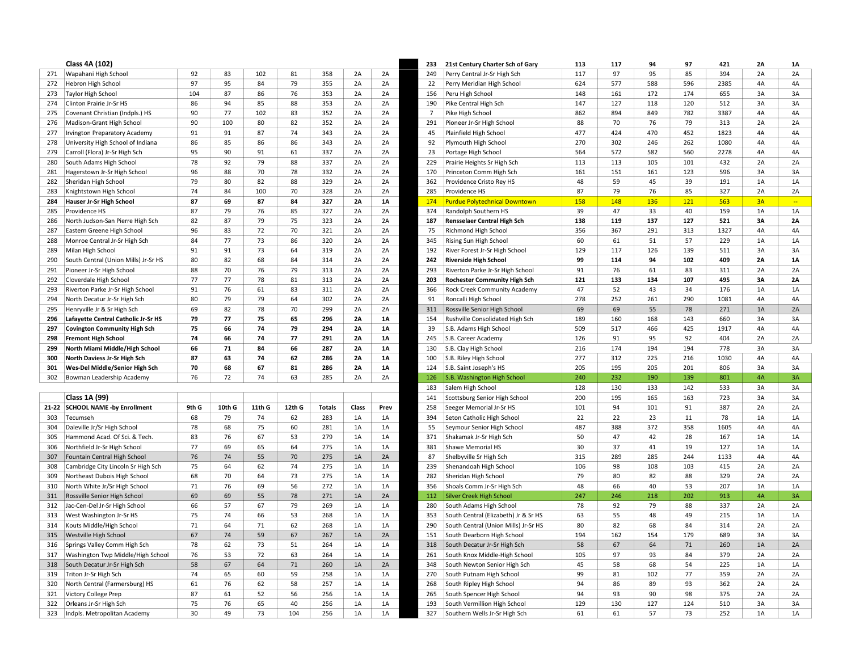|     | Class 4A (102)                                              |       |        |        |        |               |           |           | 233            | 21st Century Charter Sch of Gary                      | 113 | 117 | 94  | 97  | 421  | 2A | <b>1A</b>     |
|-----|-------------------------------------------------------------|-------|--------|--------|--------|---------------|-----------|-----------|----------------|-------------------------------------------------------|-----|-----|-----|-----|------|----|---------------|
| 271 | Wapahani High School                                        | 92    | 83     | 102    | 81     | 358           | 2A        | 2A        | 249            | Perry Central Jr-Sr High Sch                          | 117 | 97  | 95  | 85  | 394  | 2A | 2A            |
| 272 | Hebron High School                                          | 97    | 95     | 84     | 79     | 355           | 2A        | 2A        | 22             | Perry Meridian High School                            | 624 | 577 | 588 | 596 | 2385 | 4A | 4A            |
| 273 | <b>Taylor High School</b>                                   | 104   | 87     | 86     | 76     | 353           | 2A        | 2A        | 156            | Peru High School                                      | 148 | 161 | 172 | 174 | 655  | 3A | 3A            |
| 274 | Clinton Prairie Jr-Sr HS                                    | 86    | 94     | 85     | 88     | 353           | 2A        | 2A        | 190            | Pike Central High Sch                                 | 147 | 127 | 118 | 120 | 512  | 3A | 3A            |
| 275 | Covenant Christian (Indpls.) HS                             | 90    | 77     | 102    | 83     | 352           | 2A        | 2A        | $\overline{7}$ | Pike High School                                      | 862 | 894 | 849 | 782 | 3387 | 4A | 4A            |
| 276 | Madison-Grant High School                                   | 90    | 100    | 80     | 82     | 352           | 2A        | 2A        | 291            | Pioneer Jr-Sr High School                             | 88  | 70  | 76  | 79  | 313  | 2A | 2A            |
| 277 | Irvington Preparatory Academy                               | 91    | 91     | 87     | 74     | 343           | 2A        | 2A        | 45             | Plainfield High School                                | 477 | 424 | 470 | 452 | 1823 | 4A | 4A            |
| 278 | University High School of Indiana                           | 86    | 85     | 86     | 86     | 343           | 2A        | 2A        | 92             | Plymouth High School                                  | 270 | 302 | 246 | 262 | 1080 | 4A | 4A            |
| 279 | Carroll (Flora) Jr-Sr High Sch                              | 95    | 90     | 91     | 61     | 337           | 2A        | 2A        | 23             | Portage High School                                   | 564 | 572 | 582 | 560 | 2278 | 4A | 4A            |
| 280 | South Adams High School                                     | 78    | 92     | 79     | 88     | 337           | 2A        | 2A        | 229            | Prairie Heights Sr High Sch                           | 113 | 113 | 105 | 101 | 432  | 2A | 2A            |
| 281 | Hagerstown Jr-Sr High School                                | 96    | 88     | 70     | 78     | 332           | 2A        | 2A        | 170            | Princeton Comm High Sch                               | 161 | 151 | 161 | 123 | 596  | 3A | 3A            |
| 282 | Sheridan High School                                        | 79    | 80     | 82     | 88     | 329           | 2A        | 2A        | 362            | Providence Cristo Rey HS                              | 48  | 59  | 45  | 39  | 191  | 1A | 1A            |
| 283 | Knightstown High School                                     | 74    | 84     | 100    | 70     | 328           | 2A        | 2A        | 285            | Providence HS                                         | 87  | 79  | 76  | 85  | 327  | 2A | 2A            |
| 284 | Hauser Jr-Sr High School                                    | 87    | 69     | 87     | 84     | 327           | <b>2A</b> | 1A        | 174            | <b>Purdue Polytechnical Downtown</b>                  | 158 | 148 | 136 | 121 | 563  | 3A | $\rightarrow$ |
| 285 | Providence HS                                               | 87    | 79     | 76     | 85     | 327           | 2A        | 2A        | 374            | Randolph Southern HS                                  | 39  | 47  | 33  | 40  | 159  | 1A | 1A            |
| 286 | North Judson-San Pierre High Sch                            | 82    | 87     | 79     | 75     | 323           | 2A        | 2A        | 187            | <b>Rensselaer Central High Sch</b>                    | 138 | 119 | 137 | 127 | 521  | 3A | 2A            |
| 287 | Eastern Greene High School                                  | 96    | 83     | 72     | 70     | 321           | 2A        | 2A        | 75             | Richmond High School                                  | 356 | 367 | 291 | 313 | 1327 | 4A | 4A            |
| 288 | Monroe Central Jr-Sr High Sch                               | 84    | 77     | 73     | 86     | 320           | 2A        | 2A        | 345            | Rising Sun High School                                | 60  | 61  | 51  | 57  | 229  | 1A | 1A            |
| 289 | Milan High School                                           | 91    | 91     | 73     | 64     | 319           | 2A        | 2A        | 192            | River Forest Jr-Sr High School                        | 129 | 117 | 126 | 139 | 511  | 3A | 3A            |
| 290 | South Central (Union Mills) Jr-Sr HS                        | 80    | 82     | 68     | 84     | 314           | 2A        | 2A        | 242            | <b>Riverside High School</b>                          | 99  | 114 | 94  | 102 | 409  | 2A | 1A            |
| 291 | Pioneer Jr-Sr High School                                   | 88    | 70     | 76     | 79     | 313           | 2A        | 2A        | 293            | Riverton Parke Jr-Sr High School                      | 91  | 76  | 61  | 83  | 311  | 2A | 2A            |
| 292 | Cloverdale High School                                      | 77    | 77     | 78     | 81     | 313           | 2A        | 2A        | 203            | Rochester Community High Sch                          | 121 | 133 | 134 | 107 | 495  | 3A | 2A            |
| 293 | Riverton Parke Jr-Sr High School                            | 91    | 76     | 61     | 83     | 311           | 2A        | 2A        | 366            | Rock Creek Community Academy                          | 47  | 52  | 43  | 34  | 176  | 1A | 1A            |
| 294 | North Decatur Jr-Sr High Sch                                | 80    | 79     | 79     | 64     | 302           | 2A        | 2A        | 91             | Roncalli High School                                  | 278 | 252 | 261 | 290 | 1081 | 4A | 4A            |
| 295 | Henryville Jr & Sr High Sch                                 | 69    | 82     | 78     | 70     | 299           | 2A        | 2A        | 311            | Rossville Senior High School                          | 69  | 69  | 55  | 78  | 271  | 1A | 2A            |
| 296 | Lafayette Central Catholic Jr-Sr HS                         | 79    | 77     | 75     | 65     | 296           | <b>2A</b> | <b>1A</b> | 154            | Rushville Consolidated High Sch                       | 189 | 160 | 168 | 143 | 660  | 3A | 3A            |
| 297 | <b>Covington Community High Sch</b>                         | 75    | 66     | 74     | 79     | 294           | 2A        | 1A        | 39             | S.B. Adams High School                                | 509 | 517 | 466 | 425 | 1917 | 4A | 4A            |
| 298 | <b>Fremont High School</b>                                  | 74    | 66     | 74     | 77     | 291           | <b>2A</b> | 1A        | 245            | S.B. Career Academy                                   | 126 | 91  | 95  | 92  | 404  | 2A | 2A            |
| 299 | North Miami Middle/High School                              | 66    | 71     | 84     | 66     | 287           | <b>2A</b> | 1A        | 130            | S.B. Clay High School                                 | 216 | 174 | 194 | 194 | 778  | 3A | 3A            |
|     | North Daviess Jr-Sr High Sch                                | 87    | 63     | 74     | 62     | 286           | <b>2A</b> | 1A        | 100            | S.B. Riley High School                                | 277 | 312 | 225 | 216 | 1030 | 4A | 4A            |
| 300 |                                                             | 70    | 68     | 67     | 81     | 286           | 2A        | 1A        | 124            |                                                       | 205 | 195 | 205 | 201 | 806  | 3A | 3A            |
| 301 | Wes-Del Middle/Senior High Sch<br>Bowman Leadership Academy | 76    | 72     | 74     | 63     | 285           | 2A        | 2A        | 126            | S.B. Saint Joseph's HS<br>S.B. Washington High School | 240 | 232 | 190 | 139 | 801  | 4A | 3A            |
| 302 |                                                             |       |        |        |        |               |           |           |                |                                                       | 128 | 130 | 133 | 142 | 533  | 3A | 3A            |
|     |                                                             |       |        |        |        |               |           |           | 183            | Salem High School                                     |     |     |     |     |      |    |               |
|     | Class 1A (99)                                               |       |        |        |        |               |           |           | 141            | Scottsburg Senior High School                         | 200 | 195 | 165 | 163 | 723  | 3A | 3A            |
|     | 21-22 SCHOOL NAME -by Enrollment                            | 9th G | 10th G | 11th G | 12th G | <b>Totals</b> | Class     | Prev      | 258            | Seeger Memorial Jr-Sr HS                              | 101 | 94  | 101 | 91  | 387  | 2A | 2A            |
| 303 | Tecumseh                                                    | 68    | 79     | 74     | 62     | 283           | 1A        | 1A        | 394            | Seton Catholic High School                            | 22  | 22  | 23  | 11  | 78   | 1A | 1A            |
| 304 | Daleville Jr/Sr High School                                 | 78    | 68     | 75     | 60     | 281           | 1A        | 1A        | 55             | Seymour Senior High School                            | 487 | 388 | 372 | 358 | 1605 | 4A | 4A            |
| 305 | Hammond Acad. Of Sci. & Tech.                               | 83    | 76     | 67     | 53     | 279           | 1A        | 1A        | 371            | Shakamak Jr-Sr High Sch                               | 50  | 47  | 42  | 28  | 167  | 1A | 1A            |
| 306 | Northfield Jr-Sr High School                                | 77    | 69     | 65     | 64     | 275           | 1A        | 1A        | 381            | Shawe Memorial HS                                     | 30  | 37  | 41  | 19  | 127  | 1A | 1A            |
| 307 | Fountain Central High School                                | 76    | 74     | 55     | 70     | 275           | 1A        | 2A        | 87             | Shelbyville Sr High Sch                               | 315 | 289 | 285 | 244 | 1133 | 4A | 4A            |
| 308 | Cambridge City Lincoln Sr High Sch                          | 75    | 64     | 62     | 74     | 275           | 1A        | 1A        | 239            | Shenandoah High School                                | 106 | 98  | 108 | 103 | 415  | 2A | 2A            |
| 309 | Northeast Dubois High School                                | 68    | 70     | 64     | 73     | 275           | 1A        | 1A        | 282            | Sheridan High School                                  | 79  | 80  | 82  | 88  | 329  | 2A | 2A            |
| 310 | North White Jr/Sr High School                               | 71    | 76     | 69     | 56     | 272           | 1A        | 1A        | 356            | Shoals Comm Jr-Sr High Sch                            | 48  | 66  | 40  | 53  | 207  | 1A | 1A            |
| 311 | Rossville Senior High School                                | 69    | 69     | 55     | 78     | 271           | 1A        | 2A        | 112            | <b>Silver Creek High School</b>                       | 247 | 246 | 218 | 202 | 913  | 4A | 3A            |
| 312 | Jac-Cen-Del Jr-Sr High School                               | 66    | 57     | 67     | 79     | 269           | 1A        | 1A        | 280            | South Adams High School                               | 78  | 92  | 79  | 88  | 337  | 2A | 2A            |
| 313 | West Washington Jr-Sr HS                                    | 75    | 74     | 66     | 53     | 268           | 1A        | 1A        | 353            | South Central (Elizabeth) Jr & Sr HS                  | 63  | 55  | 48  | 49  | 215  | 1A | 1A            |
| 314 | Kouts Middle/High School                                    | 71    | 64     | 71     | 62     | 268           | 1A        | 1A        | 290            | South Central (Union Mills) Jr-Sr HS                  | 80  | 82  | 68  | 84  | 314  | 2A | 2A            |
| 315 | Westville High School                                       | 67    | 74     | 59     | 67     | 267           | 1A        | 2A        | 151            | South Dearborn High School                            | 194 | 162 | 154 | 179 | 689  | 3A | 3A            |
| 316 | Springs Valley Comm High Sch                                | 78    | 62     | 73     | 51     | 264           | 1A        | 1A        | 318            | South Decatur Jr-Sr High Sch                          | 58  | 67  | 64  | 71  | 260  | 1A | 2A            |
| 317 | Washington Twp Middle/High School                           | 76    | 53     | 72     | 63     | 264           | 1A        | 1A        | 261            | South Knox Middle-High School                         | 105 | 97  | 93  | 84  | 379  | 2A | 2A            |
| 318 | South Decatur Jr-Sr High Sch                                | 58    | 67     | 64     | 71     | 260           | 1A        | 2A        | 348            | South Newton Senior High Sch                          | 45  | 58  | 68  | 54  | 225  | 1A | 1A            |
| 319 | Triton Jr-Sr High Sch                                       | 74    | 65     | 60     | 59     | 258           | 1A        | 1A        | 270            | South Putnam High School                              | 99  | 81  | 102 | 77  | 359  | 2A | 2A            |
| 320 | North Central (Farmersburg) HS                              | 61    | 76     | 62     | 58     | 257           | 1A        | 1A        | 268            | South Ripley High School                              | 94  | 86  | 89  | 93  | 362  | 2A | 2A            |
| 321 | Victory College Prep                                        | 87    | 61     | 52     | 56     | 256           | 1A        | 1A        | 265            | South Spencer High School                             | 94  | 93  | 90  | 98  | 375  | 2A | 2A            |
| 322 | Orleans Jr-Sr High Sch                                      | 75    | 76     | 65     | 40     | 256           | 1A        | 1A        | 193            | South Vermillion High School                          | 129 | 130 | 127 | 124 | 510  | 3A | 3A            |
| 323 | Indpls. Metropolitan Academy                                | 30    | 49     | 73     | 104    | 256           | 1A        | 1A        | 327            | Southern Wells Jr-Sr High Sch                         | 61  | 61  | 57  | 73  | 252  | 1A | 1A            |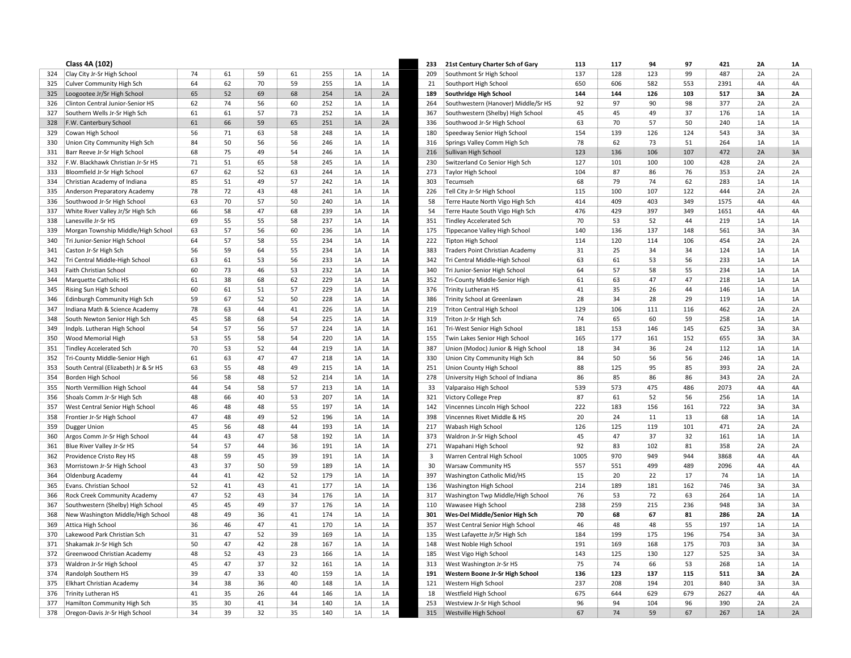|            | Class 4A (102)                                    |          |          |          |          |            |          |          |              | 21st Century Charter Sch of Gary                                 | 113       | 117       | 94        | 97        | 421        | 2A       | <b>1A</b>       |
|------------|---------------------------------------------------|----------|----------|----------|----------|------------|----------|----------|--------------|------------------------------------------------------------------|-----------|-----------|-----------|-----------|------------|----------|-----------------|
| 324        | Clay City Jr-Sr High School                       | 74       | 61       | 59       | 61       | 255        | 1A       | 1A       | 209          | Southmont Sr High School                                         | 137       | 128       | 123       | 99        | 487        | 2A       | 2A              |
| 325        | <b>Culver Community High Sch</b>                  | 64       | 62       | 70       | 59       | 255        | 1A       | 1A       | 21           | Southport High School                                            | 650       | 606       | 582       | 553       | 2391       | 4A       | 4A              |
| 325        | Loogootee Jr/Sr High School                       | 65       | 52       | 69       | 68       | 254        | 1A       | 2A       | 189          | Southridge High School                                           | 144       | 144       | 126       | 103       | 517        | 3A       | 2A              |
| 326        | Clinton Central Junior-Senior HS                  | 62       | 74       | 56       | 60       | 252        | 1A       | 1A       | 264          | Southwestern (Hanover) Middle/Sr HS                              | 92        | 97        | 90        | 98        | 377        | 2A       | 2A              |
| 327        | Southern Wells Jr-Sr High Sch                     | 61       | 61       | 57       | 73       | 252        | 1A       | 1A       | 367          | Southwestern (Shelby) High School                                | 45        | 45        | 49        | 37        | 176        | 1A       | 1A              |
| 328        | F.W. Canterbury School                            | 61       | 66       | 59       | 65       | 251        | 1A       | 2A       | 336          | Southwood Jr-Sr High School                                      | 63        | 70        | 57        | 50        | 240        | 1A       | 1A              |
| 329        | Cowan High School                                 | 56       | 71       | 63       | 58       | 248        | 1A       | 1A       | 180          | Speedway Senior High School                                      | 154       | 139       | 126       | 124       | 543        | 3A       | 3A              |
| 330        | Union City Community High Sch                     | 84       | 50       | 56       | 56       | 246        | 1A       | 1A       | 316          | Springs Valley Comm High Sch                                     | 78        | 62        | 73        | 51        | 264        | 1A       | 1A              |
| 331        | Barr Reeve Jr-Sr High School                      | 68       | 75       | 49       | 54       | 246        | 1A       | 1A       | 216          | Sullivan High School                                             | 123       | 136       | 106       | 107       | 472        | 2A       | 3A              |
| 332        | F.W. Blackhawk Christian Jr-Sr HS                 | 71       | 51       | 65       | 58       | 245        | 1A       | $1A$     | 230          | Switzerland Co Senior High Sch                                   | 127       | 101       | 100       | 100       | 428        | 2A       | 2A              |
| 333        | Bloomfield Jr-Sr High School                      | 67       | 62       | 52       | 63       | 244        | 1A       | 1A       | 273          | <b>Taylor High School</b>                                        | 104       | 87        | 86        | 76        | 353        | 2A       | 2A              |
| 334        | Christian Academy of Indiana                      | 85       | 51       | 49       | 57       | 242        | 1A       | 1A       | 303          | Tecumseh                                                         | 68        | 79        | 74        | 62        | 283        | 1A       | 1A              |
| 335        | Anderson Preparatory Academy                      | 78       | 72       | 43       | 48       | 241        | 1A       | 1A       | 226          | Tell City Jr-Sr High School                                      | 115       | 100       | 107       | 122       | 444        | 2A       | 2A              |
| 336        | Southwood Jr-Sr High School                       | 63       | 70       | 57       | 50       | 240        | 1A       | 1A       | 58           | Terre Haute North Vigo High Sch                                  | 414       | 409       | 403       | 349       | 1575       | 4A       | 4A              |
| 337        | White River Valley Jr/Sr High Sch                 | 66       | 58       | 47       | 68       | 239        | 1A       | 1A       | 54           | Terre Haute South Vigo High Sch                                  | 476       | 429       | 397       | 349       | 1651       | 4A       | 4A              |
| 338        | Lanesville Jr-Sr HS                               | 69       | 55       | 55       | 58       | 237        | 1A       | 1A       | 351          | <b>Tindley Accelerated Sch</b>                                   | 70        | 53        | 52        | 44        | 219        | 1A       | 1A              |
| 339        | Morgan Township Middle/High School                | 63       | 57       | 56       | 60       | 236        | 1A       | 1A       | 175          | Tippecanoe Valley High School                                    | 140       | 136       | 137       | 148       | 561        | 3A       | 3A              |
| 340        | Tri Junior-Senior High School                     | 64       | 57       | 58       | 55       | 234        | 1A       | 1A       | 222          | Tipton High School                                               | 114       | 120       | 114       | 106       | 454        | 2A       | 2A              |
| 341        | Caston Jr-Sr High Sch                             | 56       | 59       | 64       | 55       | 234        | 1A       | 1A       | 383          | Traders Point Christian Academy                                  | 31        | 25        | 34        | 34        | 124        | 1A       | 1A              |
| 342        | Tri Central Middle-High School                    | 63       | 61       | 53       | 56       | 233        | 1A       | 1A       | 342          | Tri Central Middle-High School                                   | 63        | 61        | 53        | 56        | 233        | 1A       | 1A              |
| 343        | Faith Christian School                            | 60       | 73       | 46       | 53       | 232        | 1A       | 1A       | 340          | Tri Junior-Senior High School                                    | 64        | 57        | 58        | 55        | 234        | $1A$     | 1A              |
| 344        | Marquette Catholic HS                             | 61       | 38       | 68       | 62       | 229        | 1A       | 1A       | 352          | Tri-County Middle-Senior High                                    | 61        | 63        | 47        | 47        | 218        | 1A       | 1A              |
| 345        | Rising Sun High School                            | 60       | 61       | 51       | 57       | 229        | 1A       | 1A       | 376          | <b>Trinity Lutheran HS</b>                                       | 41        | 35        | 26        | 44        | 146        | 1A       | 1A              |
| 346        | Edinburgh Community High Sch                      | 59       | 67       | 52       | 50       | 228        | 1A       | 1A       | 386          | Trinity School at Greenlawn                                      | 28        | 34        | 28        | 29        | 119        | 1A       | 1A              |
| 347        | Indiana Math & Science Academy                    | 78       | 63       | 44       | 41       | 226        | 1A       | 1A       | 219          | <b>Triton Central High School</b>                                | 129       | 106       | 111       | 116       | 462        | 2A       | 2A              |
| 348        | South Newton Senior High Sch                      | 45       | 58       | 68       | 54       | 225        | 1A       | 1A       | 319          | Triton Jr-Sr High Sch                                            | 74        | 65        | 60        | 59        | 258        | 1A       | 1A              |
| 349        | Indpls. Lutheran High School                      | 54       | 57       | 56       | 57       | 224        | 1A       | 1A       | 161          | Tri-West Senior High School                                      | 181       | 153       | 146       | 145       | 625        | 3A       | 3A              |
| 350        | <b>Wood Memorial High</b>                         | 53       | 55       | 58       | 54       | 220        | 1A       | 1A       | 155          | Twin Lakes Senior High School                                    | 165       | 177       | 161       | 152       | 655        | 3A       | 3A              |
| 351        | <b>Tindley Accelerated Sch</b>                    | 70       | 53       | 52       | 44       | 219        | 1A       | 1A       | 387          | Union (Modoc) Junior & High School                               | 18        | 34        | 36        | 24        | 112        | 1A       | 1A              |
| 352        | Tri-County Middle-Senior High                     | 61       | 63       | 47       | 47       | 218        | 1A       | 1A       | 330          | Union City Community High Sch                                    | 84        | 50        | 56        | 56        | 246        | 1A       | 1A              |
| 353        | South Central (Elizabeth) Jr & Sr HS              | 63       | 55       | 48       | 49       | 215        | 1A       | 1A       | 251          | Union County High School                                         | 88        | 125       | 95        | 85        | 393        | 2A       | 2A              |
| 354        | Borden High School                                | 56       | 58       | 48       | 52       | 214        | 1A       | 1A       | 278          | University High School of Indiana                                | 86        | 85        | 86        | 86        | 343        | 2A       | 2A              |
| 355        | North Vermillion High School                      | 44       | 54       | 58       | 57       | 213        | 1A       | 1A       | 33           | Valparaiso High School                                           | 539       | 573       | 475       | 486       | 2073       | 4A       | 4A              |
| 356        | Shoals Comm Jr-Sr High Sch                        | 48       | 66       | 40       | 53       | 207        | 1A       | 1A       | 321          | Victory College Prep                                             | 87        | 61        | 52        | 56        | 256        | 1A       | 1A              |
| 357        | West Central Senior High School                   | 46       | 48       | 48       | 55       | 197        | 1A       | 1A       | 142          | Vincennes Lincoln High School                                    | 222       | 183       | 156       | 161       | 722        | 3A       | 3A              |
| 358        | Frontier Jr-Sr High School                        | 47       | 48       | 49       | 52       | 196        | 1A       | 1A       | 398          | Vincennes Rivet Middle & HS                                      | 20        | 24        | 11        | 13        | 68         | 1A       | 1A              |
| 359        | Dugger Union                                      | 45       | 56       | 48       | 44       | 193        | 1A       | 1A       | 217          | Wabash High School                                               | 126       | 125       | 119       | 101       | 471        | 2A       | 2A              |
| 360        | Argos Comm Jr-Sr High School                      | 44       | 43       | 47       | 58       | 192        | 1A       | $1A$     | 373          | Waldron Jr-Sr High School                                        | 45        | 47        | 37        | 32        | 161        | 1A       | 1A              |
| 361        | Blue River Valley Jr-Sr HS                        | 54       | 57       | 44       | 36       | 191        | 1A       | 1A       | 271          | Wapahani High School                                             | 92        | 83        | 102       | 81        | 358        | 2A       | 2A              |
| 362        | Providence Cristo Rey HS                          | 48       | 59       | 45       | 39       | 191        | 1A       | 1A       | $\mathbf{3}$ | Warren Central High School                                       | 1005      | 970       | 949       | 944       | 3868       | 4A       | 4A              |
| 363        | Morristown Jr-Sr High School                      | 43       | 37       | 50       | 59       | 189        | 1A       | 1A       | 30           | <b>Warsaw Community HS</b>                                       | 557       | 551       | 499       | 489       | 2096       | 4A       | 4A              |
| 364        | Oldenburg Academy                                 | 44       | 41       | 42       | 52       | 179        | 1A       | 1A       | 397          | Washington Catholic Mid/HS                                       | 15        | 20        | 22        | 17        | 74         | 1A       | 1A              |
| 365        | Evans. Christian School                           | 52       | 41       | 43       | 41       | 177        | 1A       | 1A       | 136          | Washington High School                                           | 214       | 189       | 181       | 162       | 746        | 3A       | 3A              |
| 366        | Rock Creek Community Academy                      | 47       | 52       | 43       | 34       | 176        | 1A       | 1A       | 317          | Washington Twp Middle/High School                                | 76        | 53        | 72        | 63        | 264        | 1A       | 1A              |
| 367        | Southwestern (Shelby) High School                 | 45       | 45       | 49       | 37       | 176        | 1A       | 1A       | 110          | Wawasee High School                                              | 238<br>70 | 259       | 215<br>67 | 236<br>81 | 948        | 3A       | 3A              |
| 368        | New Washington Middle/High School                 | 48<br>36 | 49       | 36<br>47 | 41<br>41 | 174<br>170 | 1A       | 1A       | 301          | Wes-Del Middle/Senior High Sch                                   | 46        | 68        | 48        |           | 286<br>197 | 2A       | <b>1A</b><br>1A |
| 369<br>370 | Attica High School<br>Lakewood Park Christian Sch | 31       | 46<br>47 | 52       | 39       | 169        | 1A<br>1A | 1A<br>1A | 357<br>135   | West Central Senior High School<br>West Lafayette Jr/Sr High Sch | 184       | 48<br>199 | 175       | 55<br>196 | 754        | 1A<br>3A | 3A              |
| 371        | Shakamak Jr-Sr High Sch                           | 50       | 47       | 42       | 28       | 167        | 1A       | 1A       | 148          | West Noble High School                                           | 191       | 169       | 168       | 175       | 703        | 3A       | 3A              |
| 372        | Greenwood Christian Academy                       | 48       | 52       | 43       | 23       | 166        | 1A       | 1A       | 185          | West Vigo High School                                            | 143       | 125       | 130       | 127       | 525        | 3A       | 3A              |
| 373        | Waldron Jr-Sr High School                         | 45       | 47       | 37       | 32       | 161        | 1A       | 1A       | 313          | West Washington Jr-Sr HS                                         | 75        | 74        | 66        | 53        | 268        | 1A       | 1A              |
| 374        | Randolph Southern HS                              | 39       | 47       | 33       | 40       | 159        | 1A       | 1A       | 191          | Western Boone Jr-Sr High School                                  | 136       | 123       | 137       | 115       | 511        | 3A       | 2A              |
| 375        | Elkhart Christian Academy                         | 34       | 38       | 36       | 40       | 148        | 1A       | 1A       | 121          | Western High School                                              | 237       | 208       | 194       | 201       | 840        | 3A       | 3A              |
| 376        | <b>Trinity Lutheran HS</b>                        | 41       | 35       | 26       | 44       | 146        | 1A       | 1A       | 18           | Westfield High School                                            | 675       | 644       | 629       | 679       | 2627       | 4A       | 4A              |
| 377        | Hamilton Community High Sch                       | 35       | 30       | 41       | 34       | 140        | 1A       | 1A       | 253          | Westview Jr-Sr High School                                       | 96        | 94        | 104       | 96        | 390        | 2A       | 2A              |
| 378        | Oregon-Davis Jr-Sr High School                    | 34       | 39       | 32       | 35       | 140        | 1A       | 1A       | 315          | Westville High School                                            | 67        | 74        | 59        | 67        | 267        | 1A       | 2A              |
|            |                                                   |          |          |          |          |            |          |          |              |                                                                  |           |           |           |           |            |          |                 |